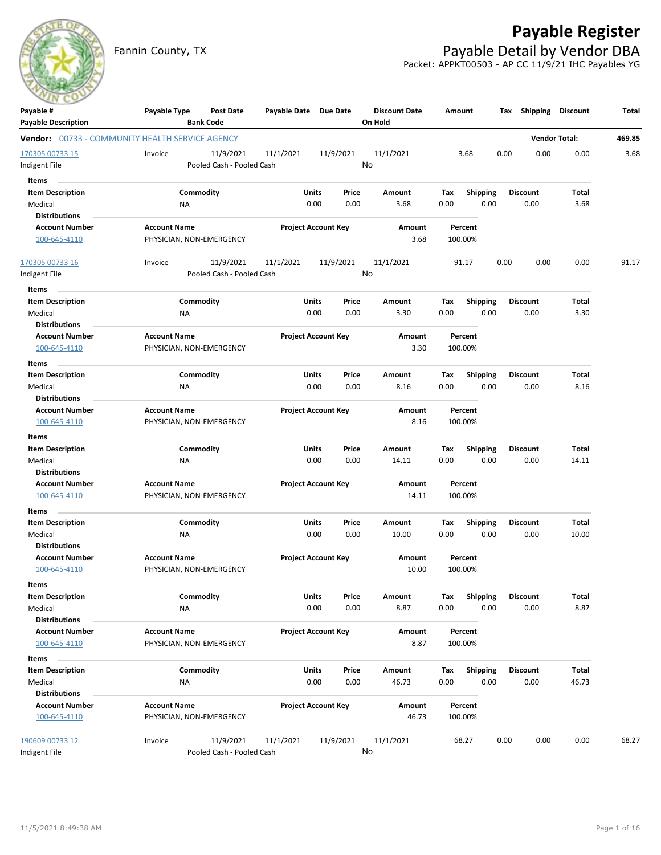

# **Payable Register**

Fannin County, TX **Payable Detail by Vendor DBA** Packet: APPKT00503 - AP CC 11/9/21 IHC Payables YG

| Payable #                                              | Payable Type             | <b>Post Date</b>          | Payable Date Due Date |                            | <b>Discount Date</b> | Amount      |                         | Tax  | <b>Shipping</b>         | <b>Discount</b>      | Total  |
|--------------------------------------------------------|--------------------------|---------------------------|-----------------------|----------------------------|----------------------|-------------|-------------------------|------|-------------------------|----------------------|--------|
| <b>Payable Description</b>                             |                          | <b>Bank Code</b>          |                       |                            | On Hold              |             |                         |      |                         |                      |        |
| <b>Vendor:</b> 00733 - COMMUNITY HEALTH SERVICE AGENCY |                          |                           |                       |                            |                      |             |                         |      |                         | <b>Vendor Total:</b> | 469.85 |
| 170305 00733 15                                        | Invoice                  | 11/9/2021                 | 11/1/2021             | 11/9/2021                  | 11/1/2021            |             | 3.68                    | 0.00 | 0.00                    | 0.00                 | 3.68   |
| ndigent File                                           |                          | Pooled Cash - Pooled Cash |                       |                            | No                   |             |                         |      |                         |                      |        |
| Items                                                  |                          |                           |                       |                            |                      |             |                         |      |                         |                      |        |
| <b>Item Description</b>                                |                          | Commodity                 | Units                 | Price                      | Amount               | Tax         | <b>Shipping</b>         |      | <b>Discount</b>         | Total                |        |
| Medical                                                | ΝA                       |                           |                       | 0.00<br>0.00               | 3.68                 | 0.00        | 0.00                    |      | 0.00                    | 3.68                 |        |
| <b>Distributions</b>                                   |                          |                           |                       |                            |                      |             |                         |      |                         |                      |        |
| <b>Account Number</b>                                  | <b>Account Name</b>      |                           |                       | <b>Project Account Key</b> | Amount               |             | Percent                 |      |                         |                      |        |
| 100-645-4110                                           | PHYSICIAN, NON-EMERGENCY |                           |                       |                            | 3.68                 | 100.00%     |                         |      |                         |                      |        |
| 170305 00733 16                                        | Invoice                  | 11/9/2021                 | 11/1/2021             | 11/9/2021                  | 11/1/2021            |             | 91.17                   | 0.00 | 0.00                    | 0.00                 | 91.17  |
| Indigent File                                          |                          | Pooled Cash - Pooled Cash |                       |                            | No                   |             |                         |      |                         |                      |        |
| <b>Items</b>                                           |                          |                           |                       |                            |                      |             |                         |      |                         |                      |        |
| <b>Item Description</b>                                |                          | Commodity                 | <b>Units</b>          | Price                      | Amount               | Tax         | <b>Shipping</b>         |      | <b>Discount</b>         | Total                |        |
| Medical                                                | <b>NA</b>                |                           |                       | 0.00<br>0.00               | 3.30                 | 0.00        | 0.00                    |      | 0.00                    | 3.30                 |        |
| <b>Distributions</b>                                   |                          |                           |                       |                            |                      |             |                         |      |                         |                      |        |
| <b>Account Number</b>                                  | <b>Account Name</b>      |                           |                       | <b>Project Account Key</b> | Amount               |             | Percent                 |      |                         |                      |        |
| 100-645-4110                                           | PHYSICIAN, NON-EMERGENCY |                           |                       |                            | 3.30                 | 100.00%     |                         |      |                         |                      |        |
| Items                                                  |                          |                           |                       |                            |                      |             |                         |      |                         |                      |        |
| <b>Item Description</b>                                |                          | Commodity                 | Units                 | Price                      | Amount               | Tax         | <b>Shipping</b>         |      | <b>Discount</b>         | Total                |        |
| Medical                                                | <b>NA</b>                |                           |                       | 0.00<br>0.00               | 8.16                 | 0.00        | 0.00                    |      | 0.00                    | 8.16                 |        |
| <b>Distributions</b>                                   |                          |                           |                       |                            |                      |             |                         |      |                         |                      |        |
| <b>Account Number</b>                                  | <b>Account Name</b>      |                           |                       | <b>Project Account Key</b> | Amount               |             | Percent                 |      |                         |                      |        |
| 100-645-4110                                           | PHYSICIAN, NON-EMERGENCY |                           |                       |                            | 8.16                 | 100.00%     |                         |      |                         |                      |        |
| Items                                                  |                          |                           |                       |                            |                      |             |                         |      |                         |                      |        |
| <b>Item Description</b>                                |                          | Commodity                 | <b>Units</b>          | Price                      | Amount               | Tax         | <b>Shipping</b>         |      | Discount                | Total                |        |
| Medical                                                | NA                       |                           |                       | 0.00<br>0.00               | 14.11                | 0.00        | 0.00                    |      | 0.00                    | 14.11                |        |
| <b>Distributions</b>                                   |                          |                           |                       |                            |                      |             |                         |      |                         |                      |        |
| <b>Account Number</b>                                  | <b>Account Name</b>      |                           |                       | <b>Project Account Key</b> | Amount               |             | Percent                 |      |                         |                      |        |
| 100-645-4110                                           |                          | PHYSICIAN, NON-EMERGENCY  |                       |                            | 14.11                | 100.00%     |                         |      |                         |                      |        |
| Items                                                  |                          |                           |                       |                            |                      |             |                         |      |                         |                      |        |
| <b>Item Description</b>                                |                          | Commodity                 | Units                 | Price                      | Amount               | Tax         | <b>Shipping</b>         |      | <b>Discount</b>         | Total                |        |
| Medical                                                | ΝA                       |                           |                       | 0.00<br>0.00               | 10.00                | 0.00        | 0.00                    |      | 0.00                    | 10.00                |        |
| <b>Distributions</b><br><b>Account Number</b>          | <b>Account Name</b>      |                           |                       |                            | Amount               |             | Percent                 |      |                         |                      |        |
| 100-645-4110                                           |                          | PHYSICIAN, NON-EMERGENCY  |                       | <b>Project Account Key</b> | 10.00                | 100.00%     |                         |      |                         |                      |        |
|                                                        |                          |                           |                       |                            |                      |             |                         |      |                         |                      |        |
| Items                                                  |                          |                           |                       |                            |                      |             |                         |      |                         |                      |        |
| <b>Item Description</b><br>Medical                     |                          | Commodity                 | Units                 | Price<br>0.00<br>0.00      | Amount<br>8.87       | Tax<br>0.00 | Shipping<br>0.00        |      | <b>Discount</b><br>0.00 | Total<br>8.87        |        |
| <b>Distributions</b>                                   | NA                       |                           |                       |                            |                      |             |                         |      |                         |                      |        |
| <b>Account Number</b>                                  | <b>Account Name</b>      |                           |                       | <b>Project Account Key</b> | Amount               |             | Percent                 |      |                         |                      |        |
| 100-645-4110                                           | PHYSICIAN, NON-EMERGENCY |                           |                       |                            | 8.87                 | 100.00%     |                         |      |                         |                      |        |
|                                                        |                          |                           |                       |                            |                      |             |                         |      |                         |                      |        |
| Items                                                  |                          | Commodity                 |                       |                            |                      |             |                         |      |                         |                      |        |
| <b>Item Description</b><br>Medical                     | <b>NA</b>                |                           | <b>Units</b>          | Price<br>0.00<br>0.00      | Amount<br>46.73      | Tax<br>0.00 | <b>Shipping</b><br>0.00 |      | <b>Discount</b><br>0.00 | Total<br>46.73       |        |
| <b>Distributions</b>                                   |                          |                           |                       |                            |                      |             |                         |      |                         |                      |        |
| <b>Account Number</b>                                  | <b>Account Name</b>      |                           |                       | <b>Project Account Key</b> | Amount               |             | Percent                 |      |                         |                      |        |
| 100-645-4110                                           | PHYSICIAN, NON-EMERGENCY |                           |                       |                            | 46.73                | 100.00%     |                         |      |                         |                      |        |
|                                                        |                          |                           |                       |                            |                      |             |                         |      |                         |                      |        |
| 190609 00733 12                                        | Invoice                  | 11/9/2021                 | 11/1/2021             | 11/9/2021                  | 11/1/2021            |             | 68.27                   | 0.00 | 0.00                    | 0.00                 | 68.27  |
| Indigent File                                          |                          | Pooled Cash - Pooled Cash |                       |                            | No                   |             |                         |      |                         |                      |        |
|                                                        |                          |                           |                       |                            |                      |             |                         |      |                         |                      |        |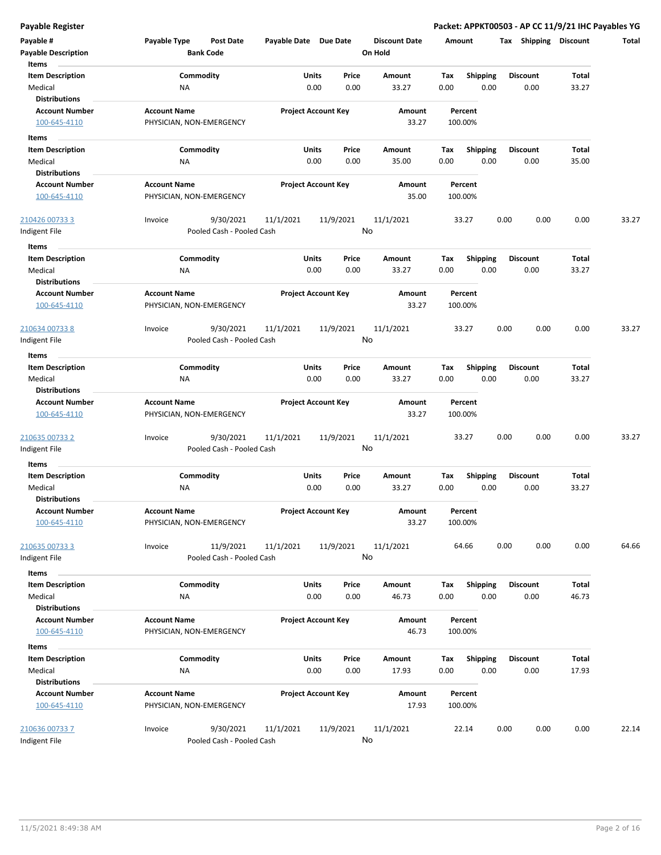|  | Payable Register |
|--|------------------|

| Payable #<br><b>Payable Description</b><br>Items              | Payable Type<br><b>Post Date</b><br><b>Bank Code</b> | Payable Date Due Date      |               | <b>Discount Date</b><br>On Hold | Amount                                 | Shipping<br>Tax         | Discount       | <b>Total</b> |
|---------------------------------------------------------------|------------------------------------------------------|----------------------------|---------------|---------------------------------|----------------------------------------|-------------------------|----------------|--------------|
| <b>Item Description</b><br>Medical                            | Commodity<br>ΝA                                      | Units<br>0.00              | Price<br>0.00 | Amount<br>33.27                 | Tax<br><b>Shipping</b><br>0.00<br>0.00 | <b>Discount</b><br>0.00 | Total<br>33.27 |              |
| <b>Distributions</b><br><b>Account Number</b><br>100-645-4110 | <b>Account Name</b><br>PHYSICIAN, NON-EMERGENCY      | <b>Project Account Key</b> |               | Amount<br>33.27                 | Percent<br>100.00%                     |                         |                |              |
| Items                                                         |                                                      |                            |               |                                 |                                        |                         |                |              |
| <b>Item Description</b>                                       | Commodity                                            | Units                      | Price         | Amount                          | Tax<br><b>Shipping</b>                 | <b>Discount</b>         | Total          |              |
| Medical                                                       | ΝA                                                   | 0.00                       | 0.00          | 35.00                           | 0.00<br>0.00                           | 0.00                    | 35.00          |              |
| <b>Distributions</b>                                          |                                                      |                            |               |                                 |                                        |                         |                |              |
| <b>Account Number</b>                                         | <b>Account Name</b>                                  | <b>Project Account Key</b> |               | Amount                          | Percent                                |                         |                |              |
| 100-645-4110                                                  | PHYSICIAN, NON-EMERGENCY                             |                            |               | 35.00                           | 100.00%                                |                         |                |              |
| 210426 00733 3<br>Indigent File                               | 9/30/2021<br>Invoice<br>Pooled Cash - Pooled Cash    | 11/1/2021                  | 11/9/2021     | 11/1/2021<br>No                 | 33.27                                  | 0.00<br>0.00            | 0.00           | 33.27        |
| Items                                                         |                                                      |                            |               |                                 |                                        |                         |                |              |
| <b>Item Description</b><br>Medical                            | Commodity<br>NA                                      | Units<br>0.00              | Price<br>0.00 | Amount<br>33.27                 | <b>Shipping</b><br>Tax<br>0.00<br>0.00 | <b>Discount</b><br>0.00 | Total<br>33.27 |              |
| <b>Distributions</b><br><b>Account Number</b>                 | <b>Account Name</b>                                  | <b>Project Account Key</b> |               | Amount                          | Percent                                |                         |                |              |
| 100-645-4110                                                  | PHYSICIAN, NON-EMERGENCY                             |                            |               | 33.27                           | 100.00%                                |                         |                |              |
| 210634 00733 8                                                | 9/30/2021<br>Invoice                                 | 11/1/2021                  | 11/9/2021     | 11/1/2021                       | 33.27                                  | 0.00<br>0.00            | 0.00           | 33.27        |
| Indigent File                                                 | Pooled Cash - Pooled Cash                            |                            |               | No                              |                                        |                         |                |              |
| Items                                                         |                                                      |                            |               |                                 |                                        |                         |                |              |
| <b>Item Description</b>                                       | Commodity                                            | Units                      | Price         | Amount                          | Tax<br><b>Shipping</b>                 | <b>Discount</b>         | Total          |              |
| Medical<br><b>Distributions</b>                               | ΝA                                                   | 0.00                       | 0.00          | 33.27                           | 0.00<br>0.00                           | 0.00                    | 33.27          |              |
| <b>Account Number</b><br>100-645-4110                         | <b>Account Name</b><br>PHYSICIAN, NON-EMERGENCY      | <b>Project Account Key</b> |               | Amount<br>33.27                 | Percent<br>100.00%                     |                         |                |              |
| 210635 00733 2<br>Indigent File                               | 9/30/2021<br>Invoice<br>Pooled Cash - Pooled Cash    | 11/1/2021                  | 11/9/2021     | 11/1/2021<br>No                 | 33.27                                  | 0.00<br>0.00            | 0.00           | 33.27        |
| Items                                                         |                                                      |                            |               |                                 |                                        |                         |                |              |
| <b>Item Description</b><br>Medical                            | Commodity<br>NA                                      | Units<br>0.00              | Price<br>0.00 | Amount<br>33.27                 | Tax<br><b>Shipping</b><br>0.00<br>0.00 | <b>Discount</b><br>0.00 | Total<br>33.27 |              |
| <b>Distributions</b><br><b>Account Number</b><br>100-645-4110 | <b>Account Name</b><br>PHYSICIAN, NON-EMERGENCY      | Project Account Key        |               | Amount<br>33.27                 | Percent<br>100.00%                     |                         |                |              |
| 210635 00733 3                                                | 11/9/2021<br>Invoice                                 | 11/1/2021                  | 11/9/2021     | 11/1/2021                       | 64.66                                  | 0.00<br>0.00            | 0.00           | 64.66        |
| Indigent File                                                 | Pooled Cash - Pooled Cash                            |                            |               | No                              |                                        |                         |                |              |
| Items                                                         |                                                      |                            |               |                                 |                                        |                         |                |              |
| <b>Item Description</b><br>Medical<br><b>Distributions</b>    | Commodity<br>ΝA                                      | Units<br>0.00              | Price<br>0.00 | Amount<br>46.73                 | <b>Shipping</b><br>Tax<br>0.00<br>0.00 | <b>Discount</b><br>0.00 | Total<br>46.73 |              |
| <b>Account Number</b>                                         | <b>Account Name</b>                                  | <b>Project Account Key</b> |               | Amount                          | Percent                                |                         |                |              |
| 100-645-4110                                                  | PHYSICIAN, NON-EMERGENCY                             |                            |               | 46.73                           | 100.00%                                |                         |                |              |
| Items                                                         | Commodity                                            |                            |               |                                 |                                        |                         | <b>Total</b>   |              |
| <b>Item Description</b><br>Medical                            | NA                                                   | Units<br>0.00              | Price<br>0.00 | Amount<br>17.93                 | <b>Shipping</b><br>Tax<br>0.00<br>0.00 | <b>Discount</b><br>0.00 | 17.93          |              |
| <b>Distributions</b>                                          |                                                      |                            |               |                                 |                                        |                         |                |              |
| <b>Account Number</b><br>100-645-4110                         | <b>Account Name</b><br>PHYSICIAN, NON-EMERGENCY      | <b>Project Account Key</b> |               | Amount<br>17.93                 | Percent<br>100.00%                     |                         |                |              |
| 210636 00733 7                                                | 9/30/2021<br>Invoice                                 | 11/1/2021                  | 11/9/2021     | 11/1/2021                       | 22.14                                  | 0.00<br>0.00            | 0.00           | 22.14        |
| Indigent File                                                 | Pooled Cash - Pooled Cash                            |                            |               | No                              |                                        |                         |                |              |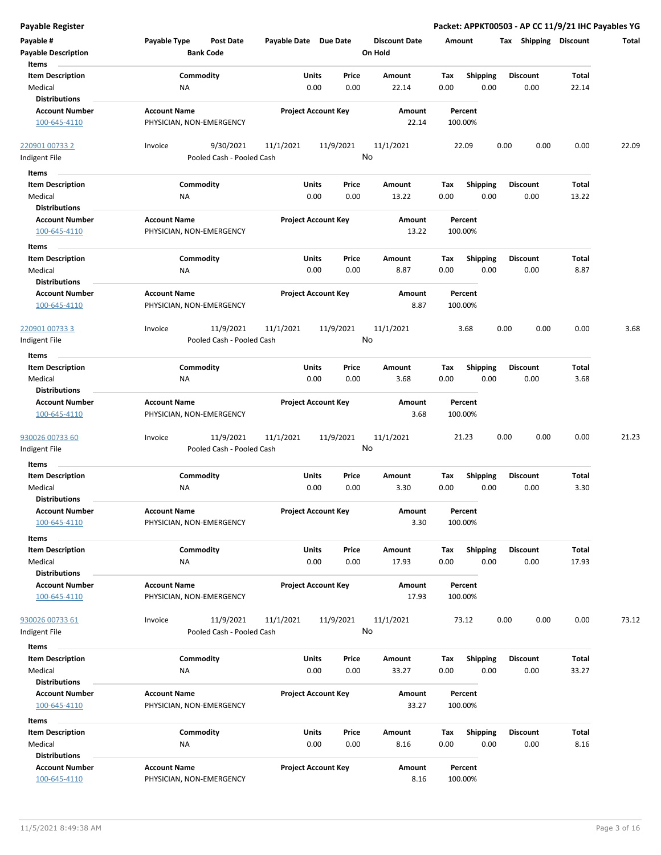| <b>Payable Register</b>                                    |                                                      |                            |                                  |                                        |                         | Packet: APPKT00503 - AP CC 11/9/21 IHC Payables YG |
|------------------------------------------------------------|------------------------------------------------------|----------------------------|----------------------------------|----------------------------------------|-------------------------|----------------------------------------------------|
| Payable #<br><b>Payable Description</b>                    | Payable Type<br><b>Post Date</b><br><b>Bank Code</b> | Payable Date Due Date      | <b>Discount Date</b><br>On Hold  | Amount                                 | Tax Shipping Discount   | Total                                              |
| Items<br><b>Item Description</b><br>Medical                | Commodity<br>NA                                      | Units<br>0.00              | Price<br>Amount<br>0.00<br>22.14 | Tax<br><b>Shipping</b><br>0.00<br>0.00 | <b>Discount</b><br>0.00 | Total<br>22.14                                     |
| <b>Distributions</b>                                       |                                                      |                            |                                  |                                        |                         |                                                    |
| <b>Account Number</b><br>100-645-4110                      | <b>Account Name</b><br>PHYSICIAN, NON-EMERGENCY      | <b>Project Account Key</b> | Amount<br>22.14                  | Percent<br>100.00%                     |                         |                                                    |
| 220901 00733 2<br>Indigent File                            | 9/30/2021<br>Invoice<br>Pooled Cash - Pooled Cash    | 11/1/2021<br>11/9/2021     | 11/1/2021<br>No                  | 22.09                                  | 0.00<br>0.00            | 0.00<br>22.09                                      |
| Items                                                      |                                                      |                            |                                  |                                        |                         |                                                    |
| <b>Item Description</b><br>Medical<br><b>Distributions</b> | Commodity<br>ΝA                                      | Units<br>0.00              | Price<br>Amount<br>0.00<br>13.22 | Tax<br><b>Shipping</b><br>0.00<br>0.00 | <b>Discount</b><br>0.00 | Total<br>13.22                                     |
| <b>Account Number</b><br>100-645-4110                      | <b>Account Name</b><br>PHYSICIAN, NON-EMERGENCY      | <b>Project Account Key</b> | Amount<br>13.22                  | Percent<br>100.00%                     |                         |                                                    |
| Items                                                      |                                                      |                            |                                  |                                        |                         |                                                    |
| <b>Item Description</b><br>Medical<br><b>Distributions</b> | Commodity<br>ΝA                                      | Units<br>0.00              | Price<br>Amount<br>0.00<br>8.87  | Tax<br><b>Shipping</b><br>0.00<br>0.00 | <b>Discount</b><br>0.00 | Total<br>8.87                                      |
| <b>Account Number</b><br>100-645-4110                      | <b>Account Name</b><br>PHYSICIAN, NON-EMERGENCY      | <b>Project Account Key</b> | Amount<br>8.87                   | Percent<br>100.00%                     |                         |                                                    |
| 220901 00733 3<br>Indigent File                            | 11/9/2021<br>Invoice<br>Pooled Cash - Pooled Cash    | 11/9/2021<br>11/1/2021     | 11/1/2021<br>No                  | 3.68                                   | 0.00<br>0.00            | 0.00<br>3.68                                       |
| Items                                                      |                                                      |                            |                                  |                                        |                         |                                                    |
| <b>Item Description</b><br>Medical<br><b>Distributions</b> | Commodity<br>NA                                      | Units<br>0.00              | Price<br>Amount<br>0.00<br>3.68  | Tax<br><b>Shipping</b><br>0.00<br>0.00 | <b>Discount</b><br>0.00 | Total<br>3.68                                      |
| <b>Account Number</b><br>100-645-4110                      | <b>Account Name</b><br>PHYSICIAN, NON-EMERGENCY      | <b>Project Account Key</b> | Amount<br>3.68                   | Percent<br>100.00%                     |                         |                                                    |
| 930026 00733 60<br>Indigent File                           | 11/9/2021<br>Invoice<br>Pooled Cash - Pooled Cash    | 11/1/2021<br>11/9/2021     | 11/1/2021<br>No                  | 21.23                                  | 0.00<br>0.00            | 0.00<br>21.23                                      |
| Items                                                      |                                                      |                            |                                  |                                        |                         |                                                    |
| <b>Item Description</b><br>Medical<br><b>Distributions</b> | Commodity<br>ΝA                                      | Units<br>0.00              | Price<br>Amount<br>0.00<br>3.30  | Tax<br><b>Shipping</b><br>0.00<br>0.00 | <b>Discount</b><br>0.00 | Total<br>3.30                                      |
| <b>Account Number</b><br>100-645-4110                      | <b>Account Name</b><br>PHYSICIAN, NON-EMERGENCY      | <b>Project Account Key</b> | Amount<br>3.30                   | Percent<br>100.00%                     |                         |                                                    |
| Items                                                      |                                                      |                            |                                  |                                        |                         |                                                    |
| <b>Item Description</b><br>Medical<br><b>Distributions</b> | Commodity<br>NA                                      | Units<br>0.00              | Price<br>Amount<br>0.00<br>17.93 | Tax<br>Shipping<br>0.00<br>0.00        | <b>Discount</b><br>0.00 | <b>Total</b><br>17.93                              |
| <b>Account Number</b><br>100-645-4110                      | <b>Account Name</b><br>PHYSICIAN, NON-EMERGENCY      | <b>Project Account Key</b> | Amount<br>17.93                  | Percent<br>100.00%                     |                         |                                                    |
| 930026 00733 61<br>Indigent File                           | 11/9/2021<br>Invoice<br>Pooled Cash - Pooled Cash    | 11/9/2021<br>11/1/2021     | 11/1/2021<br>No                  | 73.12                                  | 0.00<br>0.00            | 0.00<br>73.12                                      |
| Items                                                      |                                                      |                            |                                  |                                        |                         |                                                    |
| <b>Item Description</b><br>Medical<br><b>Distributions</b> | Commodity<br>NA                                      | <b>Units</b><br>0.00       | Price<br>Amount<br>0.00<br>33.27 | <b>Shipping</b><br>Tax<br>0.00<br>0.00 | <b>Discount</b><br>0.00 | Total<br>33.27                                     |
| <b>Account Number</b><br>100-645-4110                      | <b>Account Name</b><br>PHYSICIAN, NON-EMERGENCY      | <b>Project Account Key</b> | Amount<br>33.27                  | Percent<br>100.00%                     |                         |                                                    |
| Items                                                      |                                                      |                            |                                  |                                        |                         |                                                    |
| <b>Item Description</b><br>Medical<br><b>Distributions</b> | Commodity<br>ΝA                                      | Units<br>0.00              | Price<br>Amount<br>0.00<br>8.16  | <b>Shipping</b><br>Tax<br>0.00<br>0.00 | <b>Discount</b><br>0.00 | Total<br>8.16                                      |
| <b>Account Number</b><br>100-645-4110                      | <b>Account Name</b><br>PHYSICIAN, NON-EMERGENCY      | <b>Project Account Key</b> | Amount<br>8.16                   | Percent<br>100.00%                     |                         |                                                    |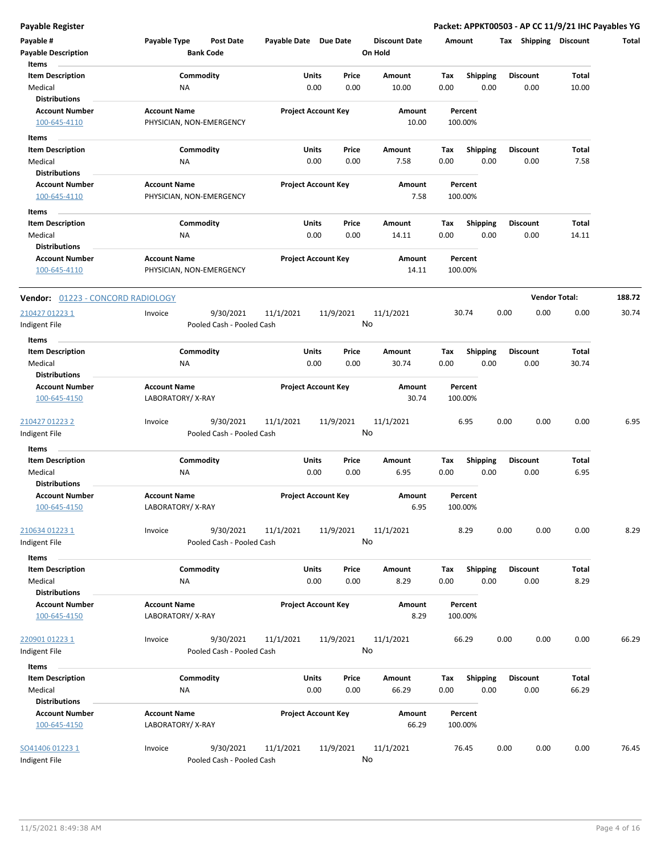| Payable #                             | Payable Type                                    | <b>Post Date</b>          | Payable Date Due Date |                            |       | <b>Discount Date</b> | Amount |                 | Tax  | <b>Shipping</b>      | <b>Discount</b> | <b>Total</b> |
|---------------------------------------|-------------------------------------------------|---------------------------|-----------------------|----------------------------|-------|----------------------|--------|-----------------|------|----------------------|-----------------|--------------|
| <b>Payable Description</b>            |                                                 | <b>Bank Code</b>          |                       |                            |       | On Hold              |        |                 |      |                      |                 |              |
| Items                                 |                                                 |                           |                       |                            |       |                      |        |                 |      |                      |                 |              |
| <b>Item Description</b>               |                                                 | Commodity                 |                       | Units                      | Price | Amount               | Tax    | Shipping        |      | <b>Discount</b>      | Total           |              |
| Medical                               | ΝA                                              |                           |                       | 0.00                       | 0.00  | 10.00                | 0.00   | 0.00            |      | 0.00                 | 10.00           |              |
| <b>Distributions</b>                  |                                                 |                           |                       |                            |       |                      |        | Percent         |      |                      |                 |              |
| <b>Account Number</b><br>100-645-4110 | <b>Account Name</b><br>PHYSICIAN, NON-EMERGENCY |                           |                       | <b>Project Account Key</b> |       | Amount<br>10.00      |        | 100.00%         |      |                      |                 |              |
|                                       |                                                 |                           |                       |                            |       |                      |        |                 |      |                      |                 |              |
| Items                                 |                                                 |                           |                       |                            |       |                      |        |                 |      |                      |                 |              |
| <b>Item Description</b>               | Commodity                                       |                           |                       | Units                      | Price | Amount               | Tax    | <b>Shipping</b> |      | <b>Discount</b>      | Total           |              |
| Medical<br><b>Distributions</b>       | <b>NA</b>                                       |                           |                       | 0.00                       | 0.00  | 7.58                 | 0.00   | 0.00            |      | 0.00                 | 7.58            |              |
| <b>Account Number</b>                 | <b>Account Name</b>                             |                           |                       | <b>Project Account Key</b> |       | Amount               |        | Percent         |      |                      |                 |              |
| 100-645-4110                          | PHYSICIAN, NON-EMERGENCY                        |                           |                       |                            |       | 7.58                 |        | 100.00%         |      |                      |                 |              |
|                                       |                                                 |                           |                       |                            |       |                      |        |                 |      |                      |                 |              |
| Items<br><b>Item Description</b>      | Commodity                                       |                           |                       | <b>Units</b>               | Price | Amount               | Tax    | Shipping        |      | <b>Discount</b>      | Total           |              |
| Medical                               | NA                                              |                           |                       | 0.00                       | 0.00  | 14.11                | 0.00   | 0.00            |      | 0.00                 | 14.11           |              |
| <b>Distributions</b>                  |                                                 |                           |                       |                            |       |                      |        |                 |      |                      |                 |              |
| <b>Account Number</b>                 | <b>Account Name</b>                             |                           |                       | <b>Project Account Key</b> |       | Amount               |        | Percent         |      |                      |                 |              |
| 100-645-4110                          | PHYSICIAN, NON-EMERGENCY                        |                           |                       |                            |       | 14.11                |        | 100.00%         |      |                      |                 |              |
| Vendor: 01223 - CONCORD RADIOLOGY     |                                                 |                           |                       |                            |       |                      |        |                 |      | <b>Vendor Total:</b> |                 | 188.72       |
| 210427 01223 1                        | Invoice                                         | 9/30/2021                 | 11/1/2021             | 11/9/2021                  |       | 11/1/2021            |        | 30.74           | 0.00 | 0.00                 | 0.00            | 30.74        |
| ndigent File                          |                                                 | Pooled Cash - Pooled Cash |                       |                            |       | No                   |        |                 |      |                      |                 |              |
| Items                                 |                                                 |                           |                       |                            |       |                      |        |                 |      |                      |                 |              |
| <b>Item Description</b>               | Commodity                                       |                           |                       | <b>Units</b>               | Price | Amount               | Tax    | <b>Shipping</b> |      | <b>Discount</b>      | Total           |              |
| Medical                               | NA                                              |                           |                       | 0.00                       | 0.00  | 30.74                | 0.00   | 0.00            |      | 0.00                 | 30.74           |              |
| <b>Distributions</b>                  |                                                 |                           |                       |                            |       |                      |        |                 |      |                      |                 |              |
| <b>Account Number</b>                 | <b>Account Name</b>                             |                           |                       | <b>Project Account Key</b> |       | Amount               |        | Percent         |      |                      |                 |              |
| 100-645-4150                          | LABORATORY/X-RAY                                |                           |                       |                            |       | 30.74                |        | 100.00%         |      |                      |                 |              |
| 210427 01223 2                        | Invoice                                         | 9/30/2021                 | 11/1/2021             | 11/9/2021                  |       | 11/1/2021            |        | 6.95            | 0.00 | 0.00                 | 0.00            | 6.95         |
| Indigent File                         |                                                 | Pooled Cash - Pooled Cash |                       |                            |       | No                   |        |                 |      |                      |                 |              |
| Items                                 |                                                 |                           |                       |                            |       |                      |        |                 |      |                      |                 |              |
| <b>Item Description</b>               | Commodity                                       |                           |                       | Units                      | Price | Amount               | Tax    | <b>Shipping</b> |      | <b>Discount</b>      | Total           |              |
| Medical                               | <b>NA</b>                                       |                           |                       | 0.00                       | 0.00  | 6.95                 | 0.00   | 0.00            |      | 0.00                 | 6.95            |              |
| <b>Distributions</b>                  |                                                 |                           |                       |                            |       |                      |        |                 |      |                      |                 |              |
| <b>Account Number</b>                 | <b>Account Name</b>                             |                           |                       | <b>Project Account Key</b> |       | Amount               |        | Percent         |      |                      |                 |              |
| 100-645-4150                          | LABORATORY/X-RAY                                |                           |                       |                            |       | 6.95                 |        | 100.00%         |      |                      |                 |              |
| 210634 01223 1                        | Invoice                                         | 9/30/2021                 | 11/1/2021             | 11/9/2021                  |       | 11/1/2021            |        | 8.29            | 0.00 | 0.00                 | 0.00            | 8.29         |
| Indigent File                         |                                                 | Pooled Cash - Pooled Cash |                       |                            |       | No                   |        |                 |      |                      |                 |              |
| Items                                 |                                                 |                           |                       |                            |       |                      |        |                 |      |                      |                 |              |
| <b>Item Description</b>               | Commodity                                       |                           |                       | Units                      | Price | Amount               | Tax    | <b>Shipping</b> |      | <b>Discount</b>      | Total           |              |
| Medical                               | ΝA                                              |                           |                       | 0.00                       | 0.00  | 8.29                 | 0.00   | 0.00            |      | 0.00                 | 8.29            |              |
| <b>Distributions</b>                  |                                                 |                           |                       |                            |       |                      |        |                 |      |                      |                 |              |
| <b>Account Number</b>                 | <b>Account Name</b>                             |                           |                       | <b>Project Account Key</b> |       | Amount               |        | Percent         |      |                      |                 |              |
| 100-645-4150                          | LABORATORY/X-RAY                                |                           |                       |                            |       | 8.29                 |        | 100.00%         |      |                      |                 |              |
| 220901 01223 1                        | Invoice                                         | 9/30/2021                 | 11/1/2021             | 11/9/2021                  |       | 11/1/2021            |        | 66.29           | 0.00 | 0.00                 | 0.00            | 66.29        |
| Indigent File                         |                                                 | Pooled Cash - Pooled Cash |                       |                            |       | No                   |        |                 |      |                      |                 |              |
| Items                                 |                                                 |                           |                       |                            |       |                      |        |                 |      |                      |                 |              |
| <b>Item Description</b>               | Commodity                                       |                           |                       | <b>Units</b>               | Price | Amount               | Tax    | <b>Shipping</b> |      | <b>Discount</b>      | Total           |              |
| Medical                               | ΝA                                              |                           |                       | 0.00                       | 0.00  | 66.29                | 0.00   | 0.00            |      | 0.00                 | 66.29           |              |
| <b>Distributions</b>                  |                                                 |                           |                       |                            |       |                      |        |                 |      |                      |                 |              |
| <b>Account Number</b>                 | <b>Account Name</b>                             |                           |                       | <b>Project Account Key</b> |       | Amount               |        | Percent         |      |                      |                 |              |
| 100-645-4150                          | LABORATORY/X-RAY                                |                           |                       |                            |       | 66.29                |        | 100.00%         |      |                      |                 |              |
| SO41406 01223 1                       | Invoice                                         | 9/30/2021                 | 11/1/2021             | 11/9/2021                  |       | 11/1/2021            |        | 76.45           | 0.00 | 0.00                 | 0.00            | 76.45        |
| Indigent File                         |                                                 | Pooled Cash - Pooled Cash |                       |                            |       | No                   |        |                 |      |                      |                 |              |
|                                       |                                                 |                           |                       |                            |       |                      |        |                 |      |                      |                 |              |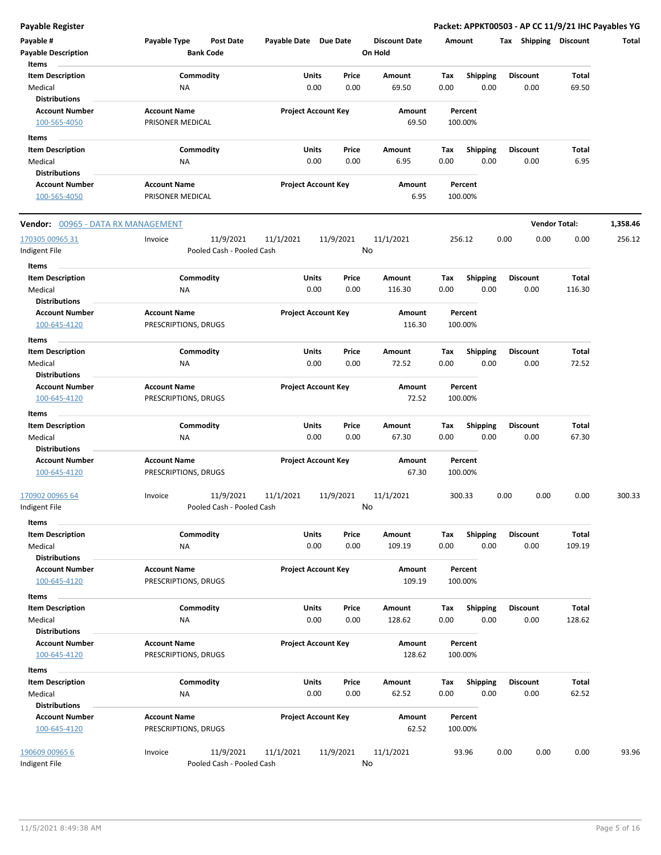| Payable #<br><b>Payable Description</b><br>Items           | Payable Type<br><b>Post Date</b><br><b>Bank Code</b> | Payable Date Due Date |                                       | <b>Discount Date</b><br>On Hold | Amount             |                         | Shipping<br>Tax         | <b>Discount</b>      | Total    |
|------------------------------------------------------------|------------------------------------------------------|-----------------------|---------------------------------------|---------------------------------|--------------------|-------------------------|-------------------------|----------------------|----------|
| <b>Item Description</b><br>Medical<br><b>Distributions</b> | Commodity<br>NA                                      |                       | <b>Units</b><br>Price<br>0.00<br>0.00 | Amount<br>69.50                 | Tax<br>0.00        | <b>Shipping</b><br>0.00 | <b>Discount</b><br>0.00 | Total<br>69.50       |          |
| <b>Account Number</b><br>100-565-4050                      | <b>Account Name</b><br>PRISONER MEDICAL              |                       | <b>Project Account Key</b>            | Amount<br>69.50                 | Percent<br>100.00% |                         |                         |                      |          |
| Items                                                      |                                                      |                       |                                       |                                 |                    |                         |                         |                      |          |
| <b>Item Description</b><br>Medical                         | Commodity<br>NA                                      |                       | Units<br>Price<br>0.00<br>0.00        | Amount<br>6.95                  | Tax<br>0.00        | <b>Shipping</b><br>0.00 | <b>Discount</b><br>0.00 | Total<br>6.95        |          |
| <b>Distributions</b>                                       |                                                      |                       |                                       |                                 |                    |                         |                         |                      |          |
| <b>Account Number</b>                                      | <b>Account Name</b>                                  |                       | <b>Project Account Key</b>            | Amount                          | Percent            |                         |                         |                      |          |
| 100-565-4050                                               | PRISONER MEDICAL                                     |                       |                                       | 6.95                            | 100.00%            |                         |                         |                      |          |
| <b>Vendor: 00965 - DATA RX MANAGEMENT</b>                  |                                                      |                       |                                       |                                 |                    |                         |                         | <b>Vendor Total:</b> | 1,358.46 |
| 170305 00965 31                                            | 11/9/2021<br>Invoice                                 | 11/1/2021             | 11/9/2021                             | 11/1/2021                       | 256.12             |                         | 0.00<br>0.00            | 0.00                 | 256.12   |
| Indigent File                                              | Pooled Cash - Pooled Cash                            |                       |                                       | No                              |                    |                         |                         |                      |          |
| <b>Items</b>                                               |                                                      |                       |                                       |                                 |                    |                         |                         |                      |          |
| <b>Item Description</b>                                    | Commodity                                            |                       | Units<br>Price                        | Amount                          | Tax                | <b>Shipping</b>         | <b>Discount</b>         | Total                |          |
| Medical<br><b>Distributions</b>                            | ΝA                                                   |                       | 0.00<br>0.00                          | 116.30                          | 0.00               | 0.00                    | 0.00                    | 116.30               |          |
| <b>Account Number</b><br>100-645-4120                      | <b>Account Name</b><br>PRESCRIPTIONS, DRUGS          |                       | <b>Project Account Key</b>            | Amount<br>116.30                | Percent<br>100.00% |                         |                         |                      |          |
| Items                                                      |                                                      |                       |                                       |                                 |                    |                         |                         |                      |          |
| <b>Item Description</b>                                    | Commodity                                            |                       | <b>Units</b><br>Price                 | Amount                          | Tax                | Shipping                | <b>Discount</b>         | Total                |          |
| Medical                                                    | ΝA                                                   |                       | 0.00<br>0.00                          | 72.52                           | 0.00               | 0.00                    | 0.00                    | 72.52                |          |
| <b>Distributions</b><br><b>Account Number</b>              | <b>Account Name</b>                                  |                       | <b>Project Account Key</b>            | Amount                          | Percent            |                         |                         |                      |          |
| 100-645-4120                                               | PRESCRIPTIONS, DRUGS                                 |                       |                                       | 72.52                           | 100.00%            |                         |                         |                      |          |
| Items                                                      |                                                      |                       |                                       |                                 |                    |                         |                         |                      |          |
| <b>Item Description</b>                                    | Commodity                                            |                       | <b>Units</b><br>Price                 | Amount                          | Tax                | <b>Shipping</b>         | <b>Discount</b>         | Total                |          |
| Medical                                                    | <b>NA</b>                                            |                       | 0.00<br>0.00                          | 67.30                           | 0.00               | 0.00                    | 0.00                    | 67.30                |          |
| <b>Distributions</b>                                       |                                                      |                       |                                       |                                 |                    |                         |                         |                      |          |
| <b>Account Number</b>                                      | <b>Account Name</b>                                  |                       | <b>Project Account Key</b>            | Amount                          | Percent            |                         |                         |                      |          |
| 100-645-4120                                               | PRESCRIPTIONS, DRUGS                                 |                       |                                       | 67.30                           | 100.00%            |                         |                         |                      |          |
| 170902 00965 64                                            | 11/9/2021<br>Invoice                                 | 11/1/2021             | 11/9/2021                             | 11/1/2021                       | 300.33             |                         | 0.00<br>0.00            | 0.00                 | 300.33   |
| Indigent File                                              | Pooled Cash - Pooled Cash                            |                       |                                       | No                              |                    |                         |                         |                      |          |
| Items                                                      |                                                      |                       |                                       |                                 |                    |                         |                         |                      |          |
| <b>Item Description</b>                                    | Commodity                                            |                       | Units<br>Price                        | Amount                          | Tax                | Shipping                | <b>Discount</b>         | <b>Total</b>         |          |
| Medical                                                    | <b>NA</b>                                            |                       | 0.00<br>0.00                          | 109.19                          | 0.00               | 0.00                    | 0.00                    | 109.19               |          |
| <b>Distributions</b><br><b>Account Number</b>              | <b>Account Name</b>                                  |                       | <b>Project Account Key</b>            | Amount                          | Percent            |                         |                         |                      |          |
| 100-645-4120                                               | PRESCRIPTIONS, DRUGS                                 |                       |                                       | 109.19                          | 100.00%            |                         |                         |                      |          |
| Items                                                      |                                                      |                       |                                       |                                 |                    |                         |                         |                      |          |
| <b>Item Description</b>                                    | Commodity                                            |                       | Units<br>Price                        | Amount                          | Tax                | <b>Shipping</b>         | <b>Discount</b>         | Total                |          |
| Medical                                                    | ΝA                                                   |                       | 0.00<br>0.00                          | 128.62                          | 0.00               | 0.00                    | 0.00                    | 128.62               |          |
| <b>Distributions</b>                                       |                                                      |                       |                                       |                                 |                    |                         |                         |                      |          |
| <b>Account Number</b>                                      | <b>Account Name</b>                                  |                       | <b>Project Account Key</b>            | Amount                          | Percent            |                         |                         |                      |          |
| 100-645-4120                                               | PRESCRIPTIONS, DRUGS                                 |                       |                                       | 128.62                          | 100.00%            |                         |                         |                      |          |
| Items                                                      |                                                      |                       |                                       |                                 |                    |                         |                         |                      |          |
| <b>Item Description</b>                                    | Commodity                                            |                       | <b>Units</b><br>Price                 | Amount                          | Tax                | Shipping                | <b>Discount</b>         | Total                |          |
| Medical                                                    | ΝA                                                   |                       | 0.00<br>0.00                          | 62.52                           | 0.00               | 0.00                    | 0.00                    | 62.52                |          |
| <b>Distributions</b>                                       |                                                      |                       |                                       |                                 |                    |                         |                         |                      |          |
| <b>Account Number</b>                                      | <b>Account Name</b>                                  |                       | <b>Project Account Key</b>            | Amount                          | Percent            |                         |                         |                      |          |
| 100-645-4120                                               | PRESCRIPTIONS, DRUGS                                 |                       |                                       | 62.52                           | 100.00%            |                         |                         |                      |          |
| 190609 00965 6<br>Indigent File                            | 11/9/2021<br>Invoice<br>Pooled Cash - Pooled Cash    | 11/1/2021             | 11/9/2021                             | 11/1/2021<br>No                 | 93.96              |                         | 0.00<br>0.00            | 0.00                 | 93.96    |
|                                                            |                                                      |                       |                                       |                                 |                    |                         |                         |                      |          |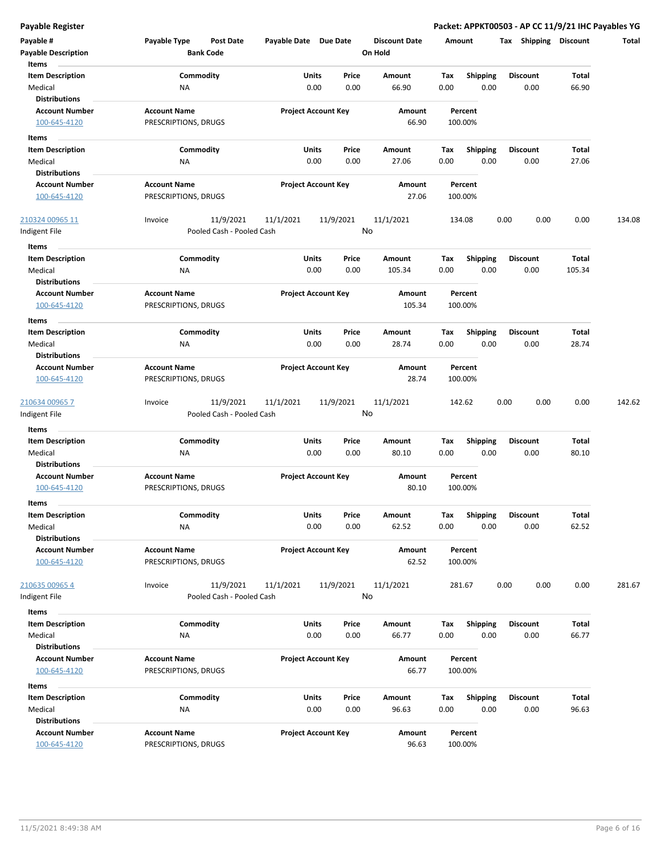| Payable #<br><b>Payable Description</b>                             | Payable Type<br>Post Date<br><b>Bank Code</b> | Payable Date Due Date |                            | <b>Discount Date</b><br>On Hold | Amount                                 | Tax<br>Shipping         | <b>Discount</b> | Total  |
|---------------------------------------------------------------------|-----------------------------------------------|-----------------------|----------------------------|---------------------------------|----------------------------------------|-------------------------|-----------------|--------|
| Items<br><b>Item Description</b><br>Medical<br><b>Distributions</b> | Commodity<br>ΝA                               | Units                 | Price<br>0.00<br>0.00      | Amount<br>66.90                 | Tax<br><b>Shipping</b><br>0.00<br>0.00 | <b>Discount</b><br>0.00 | Total<br>66.90  |        |
| <b>Account Number</b><br>100-645-4120                               | <b>Account Name</b><br>PRESCRIPTIONS, DRUGS   |                       | <b>Project Account Key</b> | Amount<br>66.90                 | Percent<br>100.00%                     |                         |                 |        |
| Items<br><b>Item Description</b>                                    | Commodity                                     | Units                 | Price                      | Amount                          | Tax<br><b>Shipping</b>                 | <b>Discount</b>         | Total           |        |
| Medical                                                             | ΝA                                            |                       | 0.00<br>0.00               | 27.06                           | 0.00<br>0.00                           | 0.00                    | 27.06           |        |
| <b>Distributions</b>                                                |                                               |                       |                            |                                 |                                        |                         |                 |        |
| <b>Account Number</b>                                               | <b>Account Name</b>                           |                       | <b>Project Account Key</b> | Amount                          | Percent                                |                         |                 |        |
| 100-645-4120                                                        | PRESCRIPTIONS, DRUGS                          |                       |                            | 27.06                           | 100.00%                                |                         |                 |        |
| 210324 00965 11                                                     | 11/9/2021<br>Invoice                          | 11/1/2021             | 11/9/2021                  | 11/1/2021                       | 134.08                                 | 0.00<br>0.00            | 0.00            | 134.08 |
| Indigent File                                                       | Pooled Cash - Pooled Cash                     |                       |                            | No                              |                                        |                         |                 |        |
| Items                                                               |                                               |                       |                            |                                 |                                        |                         |                 |        |
| <b>Item Description</b><br>Medical<br><b>Distributions</b>          | Commodity<br><b>NA</b>                        | Units                 | Price<br>0.00<br>0.00      | Amount<br>105.34                | Tax<br>Shipping<br>0.00<br>0.00        | <b>Discount</b><br>0.00 | Total<br>105.34 |        |
| <b>Account Number</b><br>100-645-4120                               | <b>Account Name</b><br>PRESCRIPTIONS, DRUGS   |                       | <b>Project Account Key</b> | Amount<br>105.34                | Percent<br>100.00%                     |                         |                 |        |
| Items                                                               |                                               |                       |                            |                                 |                                        |                         |                 |        |
| <b>Item Description</b>                                             | Commodity                                     | Units                 | Price                      | Amount                          | Tax<br><b>Shipping</b>                 | <b>Discount</b>         | Total           |        |
| Medical<br><b>Distributions</b>                                     | NA                                            |                       | 0.00<br>0.00               | 28.74                           | 0.00<br>0.00                           | 0.00                    | 28.74           |        |
| <b>Account Number</b>                                               | <b>Account Name</b>                           |                       | <b>Project Account Key</b> | Amount                          | Percent                                |                         |                 |        |
| 100-645-4120                                                        | PRESCRIPTIONS, DRUGS                          |                       |                            | 28.74                           | 100.00%                                |                         |                 |        |
| 210634 00965 7                                                      | 11/9/2021<br>Invoice                          | 11/1/2021             | 11/9/2021                  | 11/1/2021                       | 142.62                                 | 0.00<br>0.00            | 0.00            | 142.62 |
| Indigent File                                                       | Pooled Cash - Pooled Cash                     |                       |                            | No                              |                                        |                         |                 |        |
| Items                                                               |                                               |                       |                            |                                 |                                        |                         |                 |        |
| <b>Item Description</b>                                             | Commodity                                     | Units                 | Price                      | Amount                          | Tax<br><b>Shipping</b>                 | <b>Discount</b>         | Total           |        |
| Medical                                                             | ΝA                                            |                       | 0.00<br>0.00               | 80.10                           | 0.00<br>0.00                           | 0.00                    | 80.10           |        |
| <b>Distributions</b>                                                |                                               |                       |                            |                                 |                                        |                         |                 |        |
| <b>Account Number</b>                                               | <b>Account Name</b>                           |                       | <b>Project Account Key</b> | Amount                          | Percent                                |                         |                 |        |
| 100-645-4120                                                        | PRESCRIPTIONS, DRUGS                          |                       |                            | 80.10                           | 100.00%                                |                         |                 |        |
| Items                                                               |                                               |                       |                            |                                 |                                        |                         |                 |        |
| Item Description                                                    | Commodity                                     | Units                 | Price                      | Amount                          | Tax<br><b>Shipping</b>                 | <b>Discount</b>         | Total           |        |
| Medical                                                             | ΝA                                            |                       | 0.00<br>0.00               | 62.52                           | 0.00<br>0.00                           | 0.00                    | 62.52           |        |
| <b>Distributions</b><br><b>Account Number</b>                       | <b>Account Name</b>                           |                       | <b>Project Account Key</b> | Amount                          | Percent                                |                         |                 |        |
| 100-645-4120                                                        | PRESCRIPTIONS, DRUGS                          |                       |                            | 62.52                           | 100.00%                                |                         |                 |        |
| 210635 00965 4                                                      | 11/9/2021<br>Invoice                          | 11/1/2021             | 11/9/2021                  | 11/1/2021                       | 281.67                                 | 0.00<br>0.00            | 0.00            | 281.67 |
| Indigent File                                                       | Pooled Cash - Pooled Cash                     |                       |                            | No                              |                                        |                         |                 |        |
| Items                                                               |                                               |                       |                            |                                 |                                        |                         |                 |        |
| <b>Item Description</b>                                             | Commodity                                     | Units                 | Price                      | Amount                          | <b>Shipping</b><br>Tax                 | <b>Discount</b>         | Total           |        |
| Medical                                                             | NA                                            |                       | 0.00<br>0.00               | 66.77                           | 0.00<br>0.00                           | 0.00                    | 66.77           |        |
| <b>Distributions</b>                                                |                                               |                       |                            |                                 |                                        |                         |                 |        |
| <b>Account Number</b>                                               | <b>Account Name</b>                           |                       | <b>Project Account Key</b> | Amount                          | Percent                                |                         |                 |        |
| 100-645-4120                                                        | PRESCRIPTIONS, DRUGS                          |                       |                            | 66.77                           | 100.00%                                |                         |                 |        |
| Items                                                               |                                               |                       |                            |                                 |                                        |                         |                 |        |
| <b>Item Description</b>                                             | Commodity                                     | Units                 | Price                      | Amount                          | Tax<br><b>Shipping</b>                 | <b>Discount</b>         | Total           |        |
| Medical                                                             | NA                                            |                       | 0.00<br>0.00               | 96.63                           | 0.00<br>0.00                           | 0.00                    | 96.63           |        |
| <b>Distributions</b>                                                |                                               |                       |                            |                                 |                                        |                         |                 |        |
| <b>Account Number</b>                                               | <b>Account Name</b>                           |                       | <b>Project Account Key</b> | Amount                          | Percent                                |                         |                 |        |
| 100-645-4120                                                        | PRESCRIPTIONS, DRUGS                          |                       |                            | 96.63                           | 100.00%                                |                         |                 |        |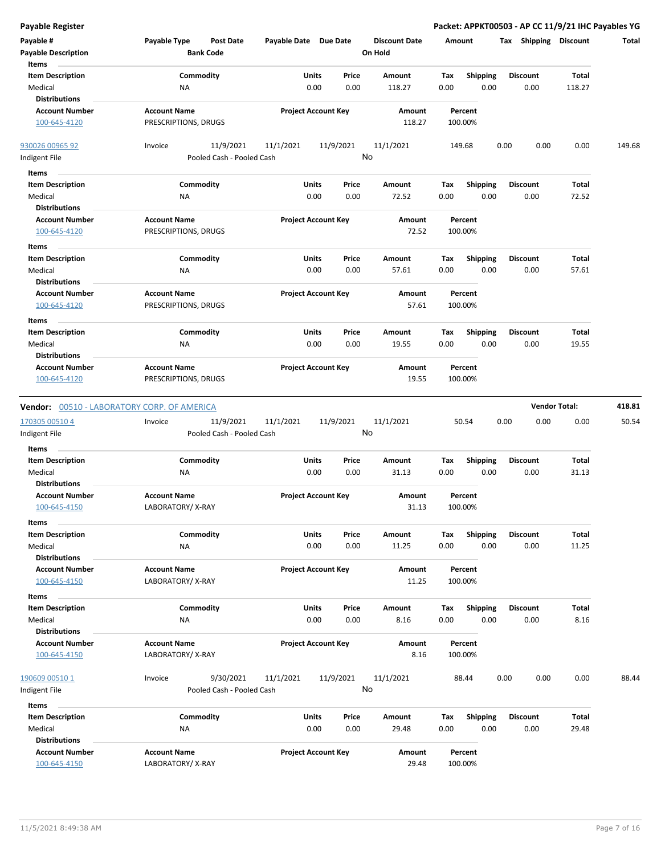| <b>Payable Register</b>                     |                                                      |                            |           |                                 |         |                 | Packet: APPKT00503 - AP CC 11/9/21 IHC Payables YG |                      |        |
|---------------------------------------------|------------------------------------------------------|----------------------------|-----------|---------------------------------|---------|-----------------|----------------------------------------------------|----------------------|--------|
| Payable #                                   | Payable Type<br><b>Post Date</b><br><b>Bank Code</b> | Payable Date Due Date      |           | <b>Discount Date</b><br>On Hold | Amount  |                 | Tax Shipping Discount                              |                      | Total  |
| <b>Payable Description</b>                  |                                                      |                            |           |                                 |         |                 |                                                    |                      |        |
| Items                                       |                                                      |                            |           |                                 |         |                 |                                                    |                      |        |
| <b>Item Description</b>                     | Commodity                                            | Units                      | Price     | <b>Amount</b>                   | Tax     | <b>Shipping</b> | <b>Discount</b>                                    | <b>Total</b>         |        |
| Medical                                     | <b>NA</b>                                            | 0.00                       | 0.00      | 118.27                          | 0.00    | 0.00            | 0.00                                               | 118.27               |        |
| <b>Distributions</b>                        |                                                      |                            |           |                                 |         |                 |                                                    |                      |        |
| <b>Account Number</b>                       | <b>Account Name</b>                                  | <b>Project Account Key</b> |           | Amount                          | Percent |                 |                                                    |                      |        |
| 100-645-4120                                | PRESCRIPTIONS, DRUGS                                 |                            |           | 118.27                          | 100.00% |                 |                                                    |                      |        |
| 930026 00965 92                             | 11/9/2021<br>Invoice                                 | 11/1/2021                  | 11/9/2021 | 11/1/2021                       | 149.68  |                 | 0.00<br>0.00                                       | 0.00                 | 149.68 |
| Indigent File                               | Pooled Cash - Pooled Cash                            |                            | No        |                                 |         |                 |                                                    |                      |        |
| Items                                       |                                                      |                            |           |                                 |         |                 |                                                    |                      |        |
| <b>Item Description</b>                     | Commodity                                            | Units                      | Price     | Amount                          | Tax     | <b>Shipping</b> | <b>Discount</b>                                    | Total                |        |
| Medical                                     | <b>NA</b>                                            | 0.00                       | 0.00      | 72.52                           | 0.00    | 0.00            | 0.00                                               | 72.52                |        |
| <b>Distributions</b>                        |                                                      |                            |           |                                 |         |                 |                                                    |                      |        |
|                                             |                                                      |                            |           |                                 |         |                 |                                                    |                      |        |
| <b>Account Number</b>                       | <b>Account Name</b>                                  | <b>Project Account Key</b> |           | Amount                          | Percent |                 |                                                    |                      |        |
| 100-645-4120                                | PRESCRIPTIONS, DRUGS                                 |                            |           | 72.52                           | 100.00% |                 |                                                    |                      |        |
| Items                                       |                                                      |                            |           |                                 |         |                 |                                                    |                      |        |
| <b>Item Description</b>                     | Commodity                                            | Units                      | Price     | <b>Amount</b>                   | Tax     | <b>Shipping</b> | <b>Discount</b>                                    | Total                |        |
| Medical                                     | <b>NA</b>                                            | 0.00                       | 0.00      | 57.61                           | 0.00    | 0.00            | 0.00                                               | 57.61                |        |
| <b>Distributions</b>                        |                                                      |                            |           |                                 |         |                 |                                                    |                      |        |
|                                             |                                                      |                            |           |                                 |         |                 |                                                    |                      |        |
| <b>Account Number</b>                       | <b>Account Name</b>                                  | <b>Project Account Key</b> |           | Amount                          | Percent |                 |                                                    |                      |        |
| 100-645-4120                                | PRESCRIPTIONS, DRUGS                                 |                            |           | 57.61                           | 100.00% |                 |                                                    |                      |        |
| Items                                       |                                                      |                            |           |                                 |         |                 |                                                    |                      |        |
| <b>Item Description</b>                     | Commodity                                            | Units                      | Price     | Amount                          | Tax     | Shipping        | <b>Discount</b>                                    | <b>Total</b>         |        |
| Medical                                     | ΝA                                                   | 0.00                       | 0.00      | 19.55                           | 0.00    | 0.00            | 0.00                                               | 19.55                |        |
| <b>Distributions</b>                        |                                                      |                            |           |                                 |         |                 |                                                    |                      |        |
| <b>Account Number</b>                       | <b>Account Name</b>                                  | <b>Project Account Key</b> |           | Amount                          | Percent |                 |                                                    |                      |        |
|                                             |                                                      |                            |           | 19.55                           | 100.00% |                 |                                                    |                      |        |
| 100-645-4120                                | PRESCRIPTIONS, DRUGS                                 |                            |           |                                 |         |                 |                                                    |                      |        |
| Vendor: 00510 - LABORATORY CORP. OF AMERICA |                                                      |                            |           |                                 |         |                 |                                                    | <b>Vendor Total:</b> | 418.81 |
|                                             |                                                      |                            |           |                                 |         |                 |                                                    |                      |        |
| 170305 00510 4                              | 11/9/2021<br>Invoice                                 | 11/1/2021                  | 11/9/2021 | 11/1/2021                       | 50.54   |                 | 0.00<br>0.00                                       | 0.00                 | 50.54  |
| Indigent File                               | Pooled Cash - Pooled Cash                            |                            | No        |                                 |         |                 |                                                    |                      |        |
| Items                                       |                                                      |                            |           |                                 |         |                 |                                                    |                      |        |
| <b>Item Description</b>                     | Commodity                                            | Units                      | Price     | Amount                          | Tax     | <b>Shipping</b> | <b>Discount</b>                                    | Total                |        |
| Medical                                     |                                                      |                            |           |                                 |         |                 |                                                    |                      |        |
| <b>Distributions</b>                        |                                                      |                            |           |                                 |         |                 |                                                    |                      |        |
| <b>Account Number</b>                       | <b>NA</b>                                            | 0.00                       | 0.00      | 31.13                           | 0.00    | 0.00            | 0.00                                               | 31.13                |        |
|                                             |                                                      |                            |           |                                 |         |                 |                                                    |                      |        |
|                                             | <b>Account Name</b>                                  | <b>Project Account Key</b> |           | Amount                          | Percent |                 |                                                    |                      |        |
| <u>100-645-4150</u>                         | LABORATORY/X-RAY                                     |                            |           | 31.13                           | 100.00% |                 |                                                    |                      |        |
| Items                                       |                                                      |                            |           |                                 |         |                 |                                                    |                      |        |
| <b>Item Description</b>                     | Commodity                                            | Units                      | Price     | Amount                          | Tax     | <b>Shipping</b> | <b>Discount</b>                                    | Total                |        |
|                                             |                                                      |                            |           |                                 |         |                 |                                                    |                      |        |
| Medical<br><b>Distributions</b>             | <b>NA</b>                                            | 0.00                       | 0.00      | 11.25                           | 0.00    | 0.00            | 0.00                                               | 11.25                |        |
|                                             |                                                      |                            |           |                                 |         |                 |                                                    |                      |        |
| <b>Account Number</b>                       | <b>Account Name</b>                                  | <b>Project Account Key</b> |           | Amount                          | Percent |                 |                                                    |                      |        |
| 100-645-4150                                | LABORATORY/X-RAY                                     |                            |           | 11.25                           | 100.00% |                 |                                                    |                      |        |
| Items                                       |                                                      |                            |           |                                 |         |                 |                                                    |                      |        |
| <b>Item Description</b>                     | Commodity                                            | Units                      | Price     | Amount                          | Tax     | <b>Shipping</b> | <b>Discount</b>                                    | Total                |        |
| Medical                                     | NA                                                   | 0.00                       | 0.00      | 8.16                            | 0.00    | 0.00            | 0.00                                               | 8.16                 |        |
| <b>Distributions</b>                        |                                                      |                            |           |                                 |         |                 |                                                    |                      |        |
| <b>Account Number</b>                       | <b>Account Name</b>                                  | <b>Project Account Key</b> |           | Amount                          | Percent |                 |                                                    |                      |        |
|                                             |                                                      |                            |           |                                 |         |                 |                                                    |                      |        |
| 100-645-4150                                | LABORATORY/X-RAY                                     |                            |           | 8.16                            | 100.00% |                 |                                                    |                      |        |
|                                             |                                                      |                            |           |                                 |         |                 |                                                    |                      |        |
| 190609 00510 1                              | 9/30/2021<br>Invoice                                 | 11/1/2021                  | 11/9/2021 | 11/1/2021                       | 88.44   |                 | 0.00<br>0.00                                       | 0.00                 | 88.44  |
| Indigent File                               | Pooled Cash - Pooled Cash                            |                            | No        |                                 |         |                 |                                                    |                      |        |
| Items                                       |                                                      |                            |           |                                 |         |                 |                                                    |                      |        |
| <b>Item Description</b>                     | Commodity                                            | Units                      | Price     | Amount                          | Tax     | <b>Shipping</b> | <b>Discount</b>                                    | Total                |        |
| Medical                                     | <b>NA</b>                                            | 0.00                       | 0.00      | 29.48                           | 0.00    | 0.00            | 0.00                                               | 29.48                |        |
| <b>Distributions</b>                        |                                                      |                            |           |                                 |         |                 |                                                    |                      |        |
| <b>Account Number</b>                       | <b>Account Name</b>                                  | <b>Project Account Key</b> |           | Amount                          | Percent |                 |                                                    |                      |        |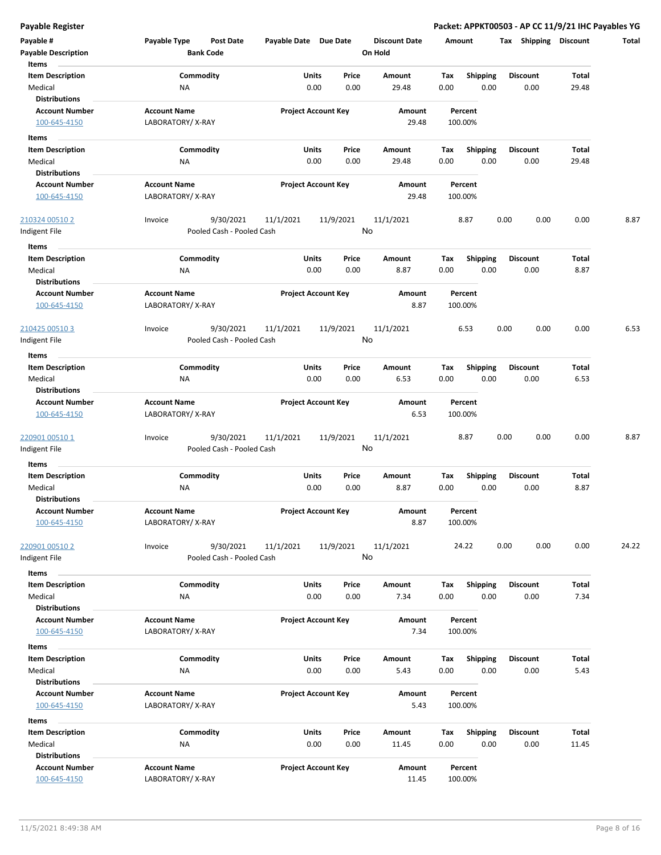| Payable #<br><b>Payable Description</b><br>Items                    | Payable Type<br><b>Bank Code</b>        | <b>Post Date</b>                       | Payable Date Due Date |                                | <b>Discount Date</b><br>On Hold | Amount             |                         | Tax Shipping Discount   |                       | Total |
|---------------------------------------------------------------------|-----------------------------------------|----------------------------------------|-----------------------|--------------------------------|---------------------------------|--------------------|-------------------------|-------------------------|-----------------------|-------|
| <b>Item Description</b><br>Medical                                  | Commodity<br>ΝA                         |                                        |                       | Units<br>Price<br>0.00<br>0.00 | Amount<br>29.48                 | Tax<br>0.00        | Shipping<br>0.00        | <b>Discount</b><br>0.00 | <b>Total</b><br>29.48 |       |
| <b>Distributions</b><br><b>Account Number</b><br>100-645-4150       | <b>Account Name</b><br>LABORATORY/X-RAY |                                        |                       | <b>Project Account Key</b>     | Amount<br>29.48                 | Percent<br>100.00% |                         |                         |                       |       |
| Items                                                               | Commodity                               |                                        |                       |                                |                                 |                    |                         |                         |                       |       |
| <b>Item Description</b><br>Medical<br><b>Distributions</b>          | NA                                      |                                        |                       | Units<br>Price<br>0.00<br>0.00 | Amount<br>29.48                 | Tax<br>0.00        | <b>Shipping</b><br>0.00 | <b>Discount</b><br>0.00 | Total<br>29.48        |       |
| <b>Account Number</b><br>100-645-4150                               | <b>Account Name</b><br>LABORATORY/X-RAY |                                        |                       | <b>Project Account Key</b>     | Amount<br>29.48                 | Percent<br>100.00% |                         |                         |                       |       |
| 210324 00510 2<br>ndigent File                                      | Invoice                                 | 9/30/2021<br>Pooled Cash - Pooled Cash | 11/1/2021             | 11/9/2021                      | 11/1/2021<br>No                 | 8.87               |                         | 0.00<br>0.00            | 0.00                  | 8.87  |
| Items<br><b>Item Description</b><br>Medical                         | Commodity<br>ΝA                         |                                        |                       | Units<br>Price<br>0.00<br>0.00 | <b>Amount</b><br>8.87           | Tax<br>0.00        | <b>Shipping</b><br>0.00 | <b>Discount</b><br>0.00 | <b>Total</b><br>8.87  |       |
| <b>Distributions</b><br><b>Account Number</b><br>100-645-4150       | <b>Account Name</b><br>LABORATORY/X-RAY |                                        |                       | <b>Project Account Key</b>     | Amount<br>8.87                  | Percent<br>100.00% |                         |                         |                       |       |
| 210425 00510 3<br>Indigent File                                     | Invoice                                 | 9/30/2021<br>Pooled Cash - Pooled Cash | 11/1/2021             | 11/9/2021                      | 11/1/2021<br>No                 | 6.53               |                         | 0.00<br>0.00            | 0.00                  | 6.53  |
| Items<br><b>Item Description</b><br>Medical                         | Commodity<br>ΝA                         |                                        |                       | Units<br>Price<br>0.00<br>0.00 | Amount<br>6.53                  | Tax<br>0.00        | Shipping<br>0.00        | <b>Discount</b><br>0.00 | Total<br>6.53         |       |
| <b>Distributions</b><br><b>Account Number</b><br>100-645-4150       | <b>Account Name</b><br>LABORATORY/X-RAY |                                        |                       | <b>Project Account Key</b>     | Amount<br>6.53                  | Percent<br>100.00% |                         |                         |                       |       |
| 220901 00510 1<br>Indigent File                                     | Invoice                                 | 9/30/2021<br>Pooled Cash - Pooled Cash | 11/1/2021             | 11/9/2021                      | 11/1/2021<br>No                 | 8.87               |                         | 0.00<br>0.00            | 0.00                  | 8.87  |
| Items<br><b>Item Description</b><br>Medical<br><b>Distributions</b> | Commodity<br>ΝA                         |                                        |                       | Units<br>Price<br>0.00<br>0.00 | Amount<br>8.87                  | Tax<br>0.00        | <b>Shipping</b><br>0.00 | <b>Discount</b><br>0.00 | Total<br>8.87         |       |
| <b>Account Number</b><br>100-645-4150                               | <b>Account Name</b><br>LABORATORY/X-RAY |                                        |                       | <b>Project Account Key</b>     | Amount<br>8.87                  | Percent<br>100.00% |                         |                         |                       |       |
| 220901 00510 2<br>Indigent File                                     | Invoice                                 | 9/30/2021<br>Pooled Cash - Pooled Cash | 11/1/2021             | 11/9/2021                      | 11/1/2021<br>No                 | 24.22              |                         | 0.00<br>0.00            | 0.00                  | 24.22 |
| Items<br><b>Item Description</b><br>Medical<br><b>Distributions</b> | Commodity<br>NA                         |                                        |                       | Units<br>Price<br>0.00<br>0.00 | Amount<br>7.34                  | Tax<br>0.00        | <b>Shipping</b><br>0.00 | <b>Discount</b><br>0.00 | Total<br>7.34         |       |
| <b>Account Number</b><br>100-645-4150                               | <b>Account Name</b><br>LABORATORY/X-RAY |                                        |                       | <b>Project Account Key</b>     | Amount<br>7.34                  | Percent<br>100.00% |                         |                         |                       |       |
| Items<br><b>Item Description</b>                                    | Commodity                               |                                        |                       | Units<br>Price                 | Amount                          | Tax                | <b>Shipping</b>         | <b>Discount</b>         | Total                 |       |
| Medical<br><b>Distributions</b>                                     | ΝA                                      |                                        |                       | 0.00<br>0.00                   | 5.43                            | 0.00               | 0.00                    | 0.00                    | 5.43                  |       |
| <b>Account Number</b><br>100-645-4150<br>Items                      | <b>Account Name</b><br>LABORATORY/X-RAY |                                        |                       | <b>Project Account Key</b>     | Amount<br>5.43                  | Percent<br>100.00% |                         |                         |                       |       |
| <b>Item Description</b><br>Medical<br><b>Distributions</b>          | Commodity<br>NA                         |                                        |                       | Units<br>Price<br>0.00<br>0.00 | Amount<br>11.45                 | Tax<br>0.00        | <b>Shipping</b><br>0.00 | <b>Discount</b><br>0.00 | Total<br>11.45        |       |
| <b>Account Number</b><br>100-645-4150                               | <b>Account Name</b><br>LABORATORY/X-RAY |                                        |                       | <b>Project Account Key</b>     | Amount<br>11.45                 | Percent<br>100.00% |                         |                         |                       |       |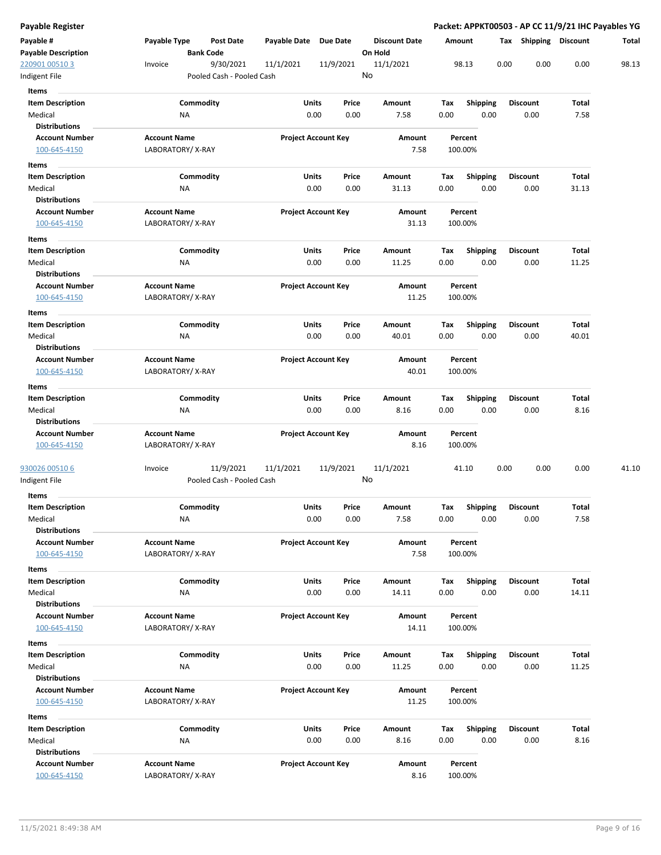| Payable Register                   |                     |                           |                       |                            |         |                      |        |                  |      |                         | Packet: APPKT00503 - AP CC 11/9/21 IHC Payables YG |       |
|------------------------------------|---------------------|---------------------------|-----------------------|----------------------------|---------|----------------------|--------|------------------|------|-------------------------|----------------------------------------------------|-------|
| Payable #                          | Payable Type        | <b>Post Date</b>          | Payable Date Due Date |                            |         | <b>Discount Date</b> | Amount |                  |      |                         | Tax Shipping Discount                              | Total |
| <b>Payable Description</b>         |                     | <b>Bank Code</b>          |                       |                            | On Hold |                      |        |                  |      |                         |                                                    |       |
| 220901 00510 3                     | Invoice             | 9/30/2021                 | 11/1/2021             | 11/9/2021                  | No      | 11/1/2021            |        | 98.13            | 0.00 | 0.00                    | 0.00                                               | 98.13 |
| Indigent File                      |                     | Pooled Cash - Pooled Cash |                       |                            |         |                      |        |                  |      |                         |                                                    |       |
| Items                              |                     |                           |                       |                            |         |                      |        |                  |      |                         |                                                    |       |
| <b>Item Description</b>            |                     | Commodity                 | Units                 | Price                      |         | Amount               | Tax    | <b>Shipping</b>  |      | <b>Discount</b>         | Total                                              |       |
| Medical<br><b>Distributions</b>    | ΝA                  |                           |                       | 0.00<br>0.00               |         | 7.58                 | 0.00   | 0.00             |      | 0.00                    | 7.58                                               |       |
| <b>Account Number</b>              | <b>Account Name</b> |                           |                       | <b>Project Account Key</b> |         | Amount               |        | Percent          |      |                         |                                                    |       |
| 100-645-4150                       | LABORATORY/X-RAY    |                           |                       |                            |         | 7.58                 |        | 100.00%          |      |                         |                                                    |       |
| Items                              |                     |                           |                       |                            |         |                      |        |                  |      |                         |                                                    |       |
| <b>Item Description</b>            |                     | Commodity                 | Units                 | Price                      |         | Amount               | Tax    | <b>Shipping</b>  |      | <b>Discount</b>         | Total                                              |       |
| Medical                            | ΝA                  |                           |                       | 0.00<br>0.00               |         | 31.13                | 0.00   | 0.00             |      | 0.00                    | 31.13                                              |       |
| <b>Distributions</b>               |                     |                           |                       |                            |         |                      |        |                  |      |                         |                                                    |       |
| <b>Account Number</b>              | <b>Account Name</b> |                           |                       | <b>Project Account Key</b> |         | Amount               |        | Percent          |      |                         |                                                    |       |
| 100-645-4150                       | LABORATORY/X-RAY    |                           |                       |                            |         | 31.13                |        | 100.00%          |      |                         |                                                    |       |
| Items                              |                     |                           |                       |                            |         |                      |        |                  |      |                         |                                                    |       |
| <b>Item Description</b>            |                     | Commodity                 | Units                 | Price                      |         | Amount               | Tax    | <b>Shipping</b>  |      | <b>Discount</b>         | Total                                              |       |
| Medical                            | NA                  |                           |                       | 0.00<br>0.00               |         | 11.25                | 0.00   | 0.00             |      | 0.00                    | 11.25                                              |       |
| <b>Distributions</b>               |                     |                           |                       |                            |         |                      |        |                  |      |                         |                                                    |       |
| <b>Account Number</b>              | <b>Account Name</b> |                           |                       | <b>Project Account Key</b> |         | Amount               |        | Percent          |      |                         |                                                    |       |
| 100-645-4150                       | LABORATORY/X-RAY    |                           |                       |                            |         | 11.25                |        | 100.00%          |      |                         |                                                    |       |
| Items                              |                     |                           |                       |                            |         |                      |        |                  |      |                         |                                                    |       |
| <b>Item Description</b>            |                     | Commodity                 | Units                 | Price                      |         | Amount               | Tax    | <b>Shipping</b>  |      | <b>Discount</b>         | Total                                              |       |
| Medical<br><b>Distributions</b>    | <b>NA</b>           |                           |                       | 0.00<br>0.00               |         | 40.01                | 0.00   | 0.00             |      | 0.00                    | 40.01                                              |       |
| <b>Account Number</b>              | <b>Account Name</b> |                           |                       | <b>Project Account Key</b> |         | Amount               |        | Percent          |      |                         |                                                    |       |
| 100-645-4150                       | LABORATORY/X-RAY    |                           |                       |                            |         | 40.01                |        | 100.00%          |      |                         |                                                    |       |
| Items                              |                     |                           |                       |                            |         |                      |        |                  |      |                         |                                                    |       |
| <b>Item Description</b>            |                     | Commodity                 | Units                 | Price                      |         | Amount               | Тах    | <b>Shipping</b>  |      | <b>Discount</b>         | Total                                              |       |
| Medical                            | NA                  |                           |                       | 0.00<br>0.00               |         | 8.16                 | 0.00   | 0.00             |      | 0.00                    | 8.16                                               |       |
| <b>Distributions</b>               |                     |                           |                       |                            |         |                      |        |                  |      |                         |                                                    |       |
| <b>Account Number</b>              | <b>Account Name</b> |                           |                       | <b>Project Account Key</b> |         | Amount               |        | Percent          |      |                         |                                                    |       |
| 100-645-4150                       | LABORATORY/X-RAY    |                           |                       |                            |         | 8.16                 |        | 100.00%          |      |                         |                                                    |       |
|                                    |                     |                           |                       |                            |         |                      |        |                  |      |                         |                                                    |       |
| 930026 00510 6                     | Invoice             | 11/9/2021                 | 11/1/2021             | 11/9/2021                  | No      | 11/1/2021            |        | 41.10            | 0.00 | 0.00                    | 0.00                                               | 41.10 |
| Indigent File                      |                     | Pooled Cash - Pooled Cash |                       |                            |         |                      |        |                  |      |                         |                                                    |       |
| Items                              |                     |                           |                       |                            |         |                      |        |                  |      |                         |                                                    |       |
| <b>Item Description</b><br>Medical |                     | Commodity                 | Units                 | Price<br>0.00<br>0.00      |         | Amount<br>7.58       | Tax    | Shipping<br>0.00 |      | <b>Discount</b><br>0.00 | Total<br>7.58                                      |       |
| <b>Distributions</b>               | ΝA                  |                           |                       |                            |         |                      | 0.00   |                  |      |                         |                                                    |       |
| <b>Account Number</b>              | <b>Account Name</b> |                           |                       | <b>Project Account Key</b> |         | Amount               |        | Percent          |      |                         |                                                    |       |
| 100-645-4150                       | LABORATORY/X-RAY    |                           |                       |                            |         | 7.58                 |        | 100.00%          |      |                         |                                                    |       |
| Items                              |                     |                           |                       |                            |         |                      |        |                  |      |                         |                                                    |       |
| <b>Item Description</b>            |                     | Commodity                 | Units                 | Price                      |         | Amount               | Tax    | <b>Shipping</b>  |      | <b>Discount</b>         | Total                                              |       |
| Medical                            | NA                  |                           |                       | 0.00<br>0.00               |         | 14.11                | 0.00   | 0.00             |      | 0.00                    | 14.11                                              |       |
| <b>Distributions</b>               |                     |                           |                       |                            |         |                      |        |                  |      |                         |                                                    |       |
| <b>Account Number</b>              | <b>Account Name</b> |                           |                       | <b>Project Account Key</b> |         | Amount               |        | Percent          |      |                         |                                                    |       |
| 100-645-4150                       | LABORATORY/X-RAY    |                           |                       |                            |         | 14.11                |        | 100.00%          |      |                         |                                                    |       |
| Items                              |                     |                           |                       |                            |         |                      |        |                  |      |                         |                                                    |       |
| <b>Item Description</b>            |                     | Commodity                 | Units                 | Price                      |         | Amount               | Tax    | <b>Shipping</b>  |      | <b>Discount</b>         | Total                                              |       |
| Medical                            | <b>NA</b>           |                           |                       | 0.00<br>0.00               |         | 11.25                | 0.00   | 0.00             |      | 0.00                    | 11.25                                              |       |
| <b>Distributions</b>               |                     |                           |                       |                            |         |                      |        |                  |      |                         |                                                    |       |
| <b>Account Number</b>              | <b>Account Name</b> |                           |                       | <b>Project Account Key</b> |         | Amount               |        | Percent          |      |                         |                                                    |       |
| 100-645-4150                       | LABORATORY/X-RAY    |                           |                       |                            |         | 11.25                |        | 100.00%          |      |                         |                                                    |       |
| Items                              |                     |                           |                       |                            |         |                      |        |                  |      |                         |                                                    |       |
| <b>Item Description</b>            |                     | Commodity                 | Units                 | Price                      |         | Amount               | Тах    | Shipping         |      | <b>Discount</b>         | Total                                              |       |
| Medical<br><b>Distributions</b>    | NA                  |                           |                       | 0.00<br>0.00               |         | 8.16                 | 0.00   | 0.00             |      | 0.00                    | 8.16                                               |       |
| <b>Account Number</b>              | <b>Account Name</b> |                           |                       | <b>Project Account Key</b> |         | Amount               |        | Percent          |      |                         |                                                    |       |
| 100-645-4150                       | LABORATORY/X-RAY    |                           |                       |                            |         | 8.16                 |        | 100.00%          |      |                         |                                                    |       |
|                                    |                     |                           |                       |                            |         |                      |        |                  |      |                         |                                                    |       |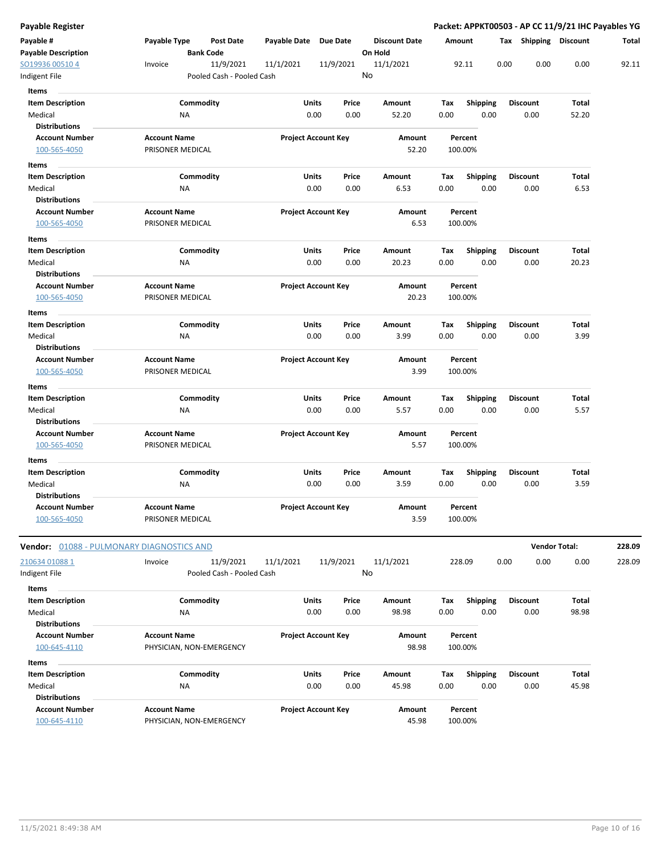| Payable Register                              |                                                      |                           |                                |                                 |                    |                  |      |                         | Packet: APPKT00503 - AP CC 11/9/21 IHC Payables YG |        |
|-----------------------------------------------|------------------------------------------------------|---------------------------|--------------------------------|---------------------------------|--------------------|------------------|------|-------------------------|----------------------------------------------------|--------|
| Payable #<br><b>Payable Description</b>       | Payable Type<br><b>Post Date</b><br><b>Bank Code</b> | Payable Date Due Date     |                                | <b>Discount Date</b><br>On Hold | Amount             |                  |      |                         | Tax Shipping Discount                              | Total  |
| SO19936 00510 4                               | 11/9/2021<br>Invoice                                 | 11/1/2021                 | 11/9/2021                      | 11/1/2021                       | 92.11              |                  | 0.00 | 0.00                    | 0.00                                               | 92.11  |
| Indigent File                                 |                                                      | Pooled Cash - Pooled Cash |                                | No                              |                    |                  |      |                         |                                                    |        |
| Items                                         |                                                      |                           |                                |                                 |                    |                  |      |                         |                                                    |        |
| <b>Item Description</b>                       | Commodity                                            |                           | Units<br>Price                 | Amount                          | Tax                | <b>Shipping</b>  |      | <b>Discount</b>         | Total                                              |        |
| Medical                                       | ΝA                                                   |                           | 0.00<br>0.00                   | 52.20                           | 0.00               | 0.00             |      | 0.00                    | 52.20                                              |        |
| <b>Distributions</b>                          |                                                      |                           |                                |                                 |                    |                  |      |                         |                                                    |        |
| <b>Account Number</b>                         | <b>Account Name</b>                                  |                           | <b>Project Account Key</b>     | Amount                          | Percent            |                  |      |                         |                                                    |        |
| 100-565-4050                                  | PRISONER MEDICAL                                     |                           |                                | 52.20                           | 100.00%            |                  |      |                         |                                                    |        |
| Items                                         |                                                      |                           |                                |                                 |                    |                  |      |                         |                                                    |        |
| <b>Item Description</b>                       | Commodity                                            |                           | Units<br>Price                 | Amount                          | Tax                | <b>Shipping</b>  |      | <b>Discount</b>         | Total                                              |        |
| Medical                                       | ΝA                                                   |                           | 0.00<br>0.00                   | 6.53                            | 0.00               | 0.00             |      | 0.00                    | 6.53                                               |        |
| <b>Distributions</b>                          |                                                      |                           |                                |                                 |                    |                  |      |                         |                                                    |        |
| <b>Account Number</b><br>100-565-4050         | <b>Account Name</b><br>PRISONER MEDICAL              |                           | <b>Project Account Key</b>     | Amount<br>6.53                  | Percent<br>100.00% |                  |      |                         |                                                    |        |
| Items                                         |                                                      |                           |                                |                                 |                    |                  |      |                         |                                                    |        |
| <b>Item Description</b><br>Medical            | Commodity<br>NA                                      |                           | Units<br>Price<br>0.00<br>0.00 | Amount<br>20.23                 | Tax<br>0.00        | Shipping<br>0.00 |      | <b>Discount</b><br>0.00 | Total<br>20.23                                     |        |
| <b>Distributions</b>                          |                                                      |                           |                                |                                 |                    |                  |      |                         |                                                    |        |
| <b>Account Number</b>                         | <b>Account Name</b>                                  |                           | <b>Project Account Key</b>     | Amount                          | Percent            |                  |      |                         |                                                    |        |
| 100-565-4050                                  | PRISONER MEDICAL                                     |                           |                                | 20.23                           | 100.00%            |                  |      |                         |                                                    |        |
| Items                                         |                                                      |                           |                                |                                 |                    |                  |      |                         |                                                    |        |
| <b>Item Description</b>                       | Commodity                                            |                           | Units<br>Price<br>0.00<br>0.00 | Amount<br>3.99                  | Tax<br>0.00        | Shipping<br>0.00 |      | <b>Discount</b><br>0.00 | Total<br>3.99                                      |        |
| Medical<br><b>Distributions</b>               | NA                                                   |                           |                                |                                 |                    |                  |      |                         |                                                    |        |
| <b>Account Number</b>                         | <b>Account Name</b>                                  |                           | <b>Project Account Key</b>     | Amount                          | Percent            |                  |      |                         |                                                    |        |
| 100-565-4050                                  | PRISONER MEDICAL                                     |                           |                                | 3.99                            | 100.00%            |                  |      |                         |                                                    |        |
| Items                                         |                                                      |                           |                                |                                 |                    |                  |      |                         |                                                    |        |
| <b>Item Description</b>                       | Commodity                                            |                           | Units<br>Price                 | Amount                          | Tax                | <b>Shipping</b>  |      | <b>Discount</b>         | Total                                              |        |
| Medical<br><b>Distributions</b>               | ΝA                                                   |                           | 0.00<br>0.00                   | 5.57                            | 0.00               | 0.00             |      | 0.00                    | 5.57                                               |        |
| <b>Account Number</b>                         | <b>Account Name</b>                                  |                           | <b>Project Account Key</b>     | Amount                          | Percent            |                  |      |                         |                                                    |        |
| 100-565-4050                                  | PRISONER MEDICAL                                     |                           |                                | 5.57                            | 100.00%            |                  |      |                         |                                                    |        |
|                                               |                                                      |                           |                                |                                 |                    |                  |      |                         |                                                    |        |
| Items<br><b>Item Description</b>              | Commodity                                            |                           | Units<br>Price                 | Amount                          | Tax                | Shipping         |      | <b>Discount</b>         | Total                                              |        |
| Medical                                       | NA                                                   |                           | 0.00<br>0.00                   | 3.59                            | 0.00               | 0.00             |      | 0.00                    | 3.59                                               |        |
| <b>Distributions</b>                          |                                                      |                           |                                |                                 |                    |                  |      |                         |                                                    |        |
| <b>Account Number</b>                         | <b>Account Name</b>                                  |                           | <b>Project Account Key</b>     | Amount                          | Percent            |                  |      |                         |                                                    |        |
| 100-565-4050                                  | PRISONER MEDICAL                                     |                           |                                | 3.59                            | 100.00%            |                  |      |                         |                                                    |        |
| Vendor: 01088 - PULMONARY DIAGNOSTICS AND     |                                                      |                           |                                |                                 |                    |                  |      |                         | <b>Vendor Total:</b>                               | 228.09 |
| 210634 01088 1                                | 11/9/2021<br>Invoice                                 | 11/1/2021                 | 11/9/2021                      | 11/1/2021                       | 228.09             |                  | 0.00 | 0.00                    | 0.00                                               | 228.09 |
| Indigent File                                 |                                                      | Pooled Cash - Pooled Cash |                                | No                              |                    |                  |      |                         |                                                    |        |
| Items                                         |                                                      |                           |                                |                                 |                    |                  |      |                         |                                                    |        |
| <b>Item Description</b>                       | Commodity                                            |                           | Units<br>Price                 | Amount                          | Tax                | <b>Shipping</b>  |      | <b>Discount</b>         | Total                                              |        |
| Medical                                       | NA                                                   |                           | 0.00<br>0.00                   | 98.98                           | 0.00               | 0.00             |      | 0.00                    | 98.98                                              |        |
| <b>Distributions</b>                          |                                                      |                           |                                |                                 |                    |                  |      |                         |                                                    |        |
| <b>Account Number</b>                         | <b>Account Name</b>                                  |                           | <b>Project Account Key</b>     | Amount                          | Percent            |                  |      |                         |                                                    |        |
| 100-645-4110                                  | PHYSICIAN, NON-EMERGENCY                             |                           |                                | 98.98                           | 100.00%            |                  |      |                         |                                                    |        |
| Items                                         |                                                      |                           |                                |                                 |                    |                  |      |                         |                                                    |        |
| <b>Item Description</b>                       | Commodity                                            |                           | Units<br>Price                 | Amount                          | Tax                | <b>Shipping</b>  |      | <b>Discount</b>         | Total                                              |        |
| Medical                                       | NA                                                   |                           | 0.00<br>0.00                   | 45.98                           | 0.00               | 0.00             |      | 0.00                    | 45.98                                              |        |
| <b>Distributions</b><br><b>Account Number</b> | <b>Account Name</b>                                  |                           |                                |                                 |                    |                  |      |                         |                                                    |        |
| 100-645-4110                                  | PHYSICIAN, NON-EMERGENCY                             |                           | <b>Project Account Key</b>     | Amount<br>45.98                 | Percent<br>100.00% |                  |      |                         |                                                    |        |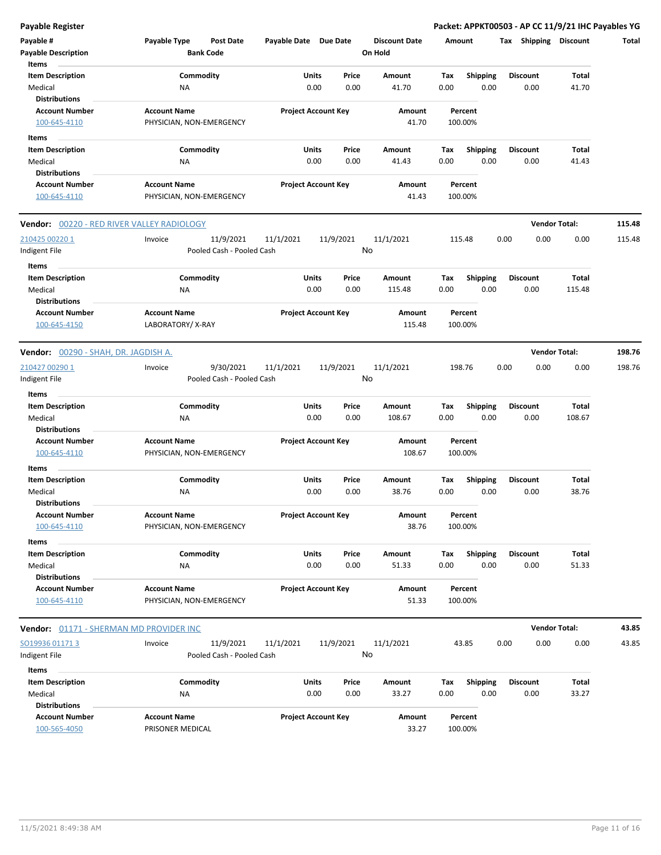| <b>Payable Register</b>                    |                                         |                            |           |                      |      |                    | Packet: APPKT00503 - AP CC 11/9/21 IHC Payables YG |                      |        |
|--------------------------------------------|-----------------------------------------|----------------------------|-----------|----------------------|------|--------------------|----------------------------------------------------|----------------------|--------|
| Payable #                                  | Payable Type<br><b>Post Date</b>        | Payable Date Due Date      |           | <b>Discount Date</b> |      | Amount             | Tax Shipping Discount                              |                      | Total  |
| <b>Payable Description</b>                 | <b>Bank Code</b>                        |                            |           | On Hold              |      |                    |                                                    |                      |        |
| Items                                      |                                         |                            |           |                      |      |                    |                                                    |                      |        |
| <b>Item Description</b>                    | Commodity                               | Units                      | Price     | Amount               | Tax  | <b>Shipping</b>    | <b>Discount</b>                                    | Total                |        |
| Medical                                    | <b>NA</b>                               | 0.00                       | 0.00      | 41.70                | 0.00 | 0.00               | 0.00                                               | 41.70                |        |
| <b>Distributions</b>                       |                                         |                            |           |                      |      |                    |                                                    |                      |        |
| <b>Account Number</b>                      | <b>Account Name</b>                     | <b>Project Account Key</b> |           | Amount               |      | Percent            |                                                    |                      |        |
| 100-645-4110                               | PHYSICIAN, NON-EMERGENCY                |                            |           | 41.70                |      | 100.00%            |                                                    |                      |        |
| Items                                      |                                         |                            |           |                      |      |                    |                                                    |                      |        |
| <b>Item Description</b>                    | Commodity                               | Units                      | Price     | Amount               | Tax  | Shipping           | <b>Discount</b>                                    | <b>Total</b>         |        |
| Medical                                    | NA                                      | 0.00                       | 0.00      | 41.43                | 0.00 | 0.00               | 0.00                                               | 41.43                |        |
| <b>Distributions</b>                       |                                         |                            |           |                      |      |                    |                                                    |                      |        |
| <b>Account Number</b>                      | <b>Account Name</b>                     | <b>Project Account Key</b> |           | Amount               |      | Percent            |                                                    |                      |        |
| 100-645-4110                               | PHYSICIAN, NON-EMERGENCY                |                            |           | 41.43                |      | 100.00%            |                                                    |                      |        |
| Vendor: 00220 - RED RIVER VALLEY RADIOLOGY |                                         |                            |           |                      |      |                    |                                                    | <b>Vendor Total:</b> | 115.48 |
| 210425 00220 1                             | 11/9/2021<br>Invoice                    | 11/1/2021                  | 11/9/2021 | 11/1/2021            |      | 115.48             | 0.00<br>0.00                                       | 0.00                 | 115.48 |
| Indigent File                              | Pooled Cash - Pooled Cash               |                            |           | No                   |      |                    |                                                    |                      |        |
| Items                                      |                                         |                            |           |                      |      |                    |                                                    |                      |        |
| <b>Item Description</b>                    | Commodity                               | Units                      | Price     | Amount               | Tax  | Shipping           | <b>Discount</b>                                    | <b>Total</b>         |        |
| Medical                                    | <b>NA</b>                               | 0.00                       | 0.00      | 115.48               | 0.00 | 0.00               | 0.00                                               | 115.48               |        |
| <b>Distributions</b>                       |                                         |                            |           |                      |      |                    |                                                    |                      |        |
| <b>Account Number</b><br>100-645-4150      | <b>Account Name</b><br>LABORATORY/X-RAY | <b>Project Account Key</b> |           | Amount<br>115.48     |      | Percent<br>100.00% |                                                    |                      |        |
|                                            |                                         |                            |           |                      |      |                    |                                                    |                      |        |
| Vendor: 00290 - SHAH, DR. JAGDISH A.       |                                         |                            |           |                      |      |                    |                                                    | <b>Vendor Total:</b> | 198.76 |
| 210427 00290 1                             | 9/30/2021<br>Invoice                    | 11/1/2021                  | 11/9/2021 | 11/1/2021            |      | 198.76             | 0.00<br>0.00                                       | 0.00                 | 198.76 |
| Indigent File                              | Pooled Cash - Pooled Cash               |                            |           | No                   |      |                    |                                                    |                      |        |
| Items                                      |                                         |                            |           |                      |      |                    |                                                    |                      |        |
| <b>Item Description</b>                    | Commodity                               | Units                      | Price     | Amount               | Tax  | Shipping           | <b>Discount</b>                                    | Total                |        |
| Medical                                    | <b>NA</b>                               | 0.00                       | 0.00      | 108.67               | 0.00 | 0.00               | 0.00                                               | 108.67               |        |
| <b>Distributions</b>                       |                                         |                            |           |                      |      |                    |                                                    |                      |        |
| <b>Account Number</b>                      | <b>Account Name</b>                     | <b>Project Account Key</b> |           | Amount               |      | Percent            |                                                    |                      |        |
| 100-645-4110                               | PHYSICIAN, NON-EMERGENCY                |                            |           | 108.67               |      | 100.00%            |                                                    |                      |        |
| Items                                      |                                         |                            |           |                      |      |                    |                                                    |                      |        |
| <b>Item Description</b>                    | Commodity                               | Units                      | Price     | Amount               | Tax  | <b>Shipping</b>    | <b>Discount</b>                                    | Total                |        |
| Medical                                    | <b>NA</b>                               | 0.00                       | 0.00      | 38.76                | 0.00 | 0.00               | 0.00                                               | 38.76                |        |
| <b>Distributions</b>                       |                                         |                            |           |                      |      |                    |                                                    |                      |        |
| <b>Account Number</b>                      | <b>Account Name</b>                     | <b>Project Account Key</b> |           | Amount               |      | Percent            |                                                    |                      |        |
| 100-645-4110                               | PHYSICIAN, NON-EMERGENCY                |                            |           | 38.76                |      | 100.00%            |                                                    |                      |        |
| Items                                      |                                         |                            |           |                      |      |                    |                                                    |                      |        |
| <b>Item Description</b>                    | Commodity                               | Units                      | Price     | Amount               | Tax  | Shipping           | <b>Discount</b>                                    | Total                |        |
| Medical                                    | NA                                      | 0.00                       | 0.00      | 51.33                | 0.00 | 0.00               | 0.00                                               | 51.33                |        |
| <b>Distributions</b>                       |                                         |                            |           |                      |      |                    |                                                    |                      |        |
| <b>Account Number</b>                      | <b>Account Name</b>                     | <b>Project Account Key</b> |           | Amount               |      | Percent            |                                                    |                      |        |
| 100-645-4110                               | PHYSICIAN, NON-EMERGENCY                |                            |           | 51.33                |      | 100.00%            |                                                    |                      |        |
| Vendor: 01171 - SHERMAN MD PROVIDER INC    |                                         |                            |           |                      |      |                    |                                                    | <b>Vendor Total:</b> | 43.85  |
| SO19936 01171 3                            | Invoice<br>11/9/2021                    | 11/1/2021                  | 11/9/2021 | 11/1/2021            |      | 43.85              | 0.00<br>0.00                                       | 0.00                 | 43.85  |
| Indigent File                              | Pooled Cash - Pooled Cash               |                            |           | No                   |      |                    |                                                    |                      |        |
| Items                                      |                                         |                            |           |                      |      |                    |                                                    |                      |        |
| <b>Item Description</b>                    | Commodity                               | Units                      | Price     | Amount               | Tax  | <b>Shipping</b>    | <b>Discount</b>                                    | Total                |        |
| Medical                                    | NA                                      | 0.00                       | 0.00      | 33.27                | 0.00 | 0.00               | 0.00                                               | 33.27                |        |
| <b>Distributions</b>                       |                                         |                            |           |                      |      |                    |                                                    |                      |        |
| <b>Account Number</b>                      | <b>Account Name</b>                     | <b>Project Account Key</b> |           | Amount               |      | Percent            |                                                    |                      |        |
| 100-565-4050                               | PRISONER MEDICAL                        |                            |           | 33.27                |      | 100.00%            |                                                    |                      |        |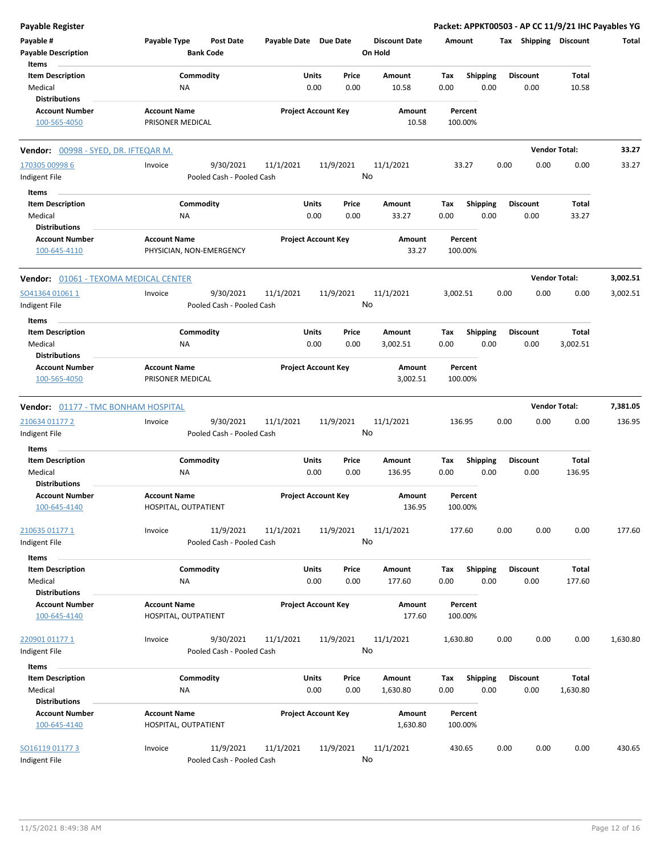| <b>Payable Register</b>                    |                                                      |                       |                            |                                 | Packet: APPKT00503 - AP CC 11/9/21 IHC Payables YG |                       |                      |          |
|--------------------------------------------|------------------------------------------------------|-----------------------|----------------------------|---------------------------------|----------------------------------------------------|-----------------------|----------------------|----------|
| Payable #<br><b>Payable Description</b>    | Payable Type<br><b>Post Date</b><br><b>Bank Code</b> | Payable Date Due Date |                            | <b>Discount Date</b><br>On Hold | Amount                                             | Tax Shipping Discount |                      | Total    |
| Items                                      |                                                      |                       |                            |                                 |                                                    |                       |                      |          |
| <b>Item Description</b>                    | Commodity                                            |                       | Units<br>Price             | Amount                          | <b>Shipping</b><br>Tax                             | <b>Discount</b>       | <b>Total</b>         |          |
| Medical                                    | ΝA                                                   |                       | 0.00<br>0.00               | 10.58                           | 0.00<br>0.00                                       | 0.00                  | 10.58                |          |
| <b>Distributions</b>                       |                                                      |                       |                            |                                 |                                                    |                       |                      |          |
| <b>Account Number</b>                      | <b>Account Name</b>                                  |                       | <b>Project Account Key</b> | Amount                          | Percent                                            |                       |                      |          |
| 100-565-4050                               | PRISONER MEDICAL                                     |                       |                            | 10.58                           | 100.00%                                            |                       |                      |          |
| Vendor: 00998 - SYED, DR. IFTEQAR M.       |                                                      |                       |                            |                                 |                                                    |                       | <b>Vendor Total:</b> | 33.27    |
| 170305 00998 6                             | 9/30/2021<br>Invoice                                 | 11/1/2021             | 11/9/2021                  | 11/1/2021                       | 33.27                                              | 0.00<br>0.00          | 0.00                 | 33.27    |
| Indigent File                              | Pooled Cash - Pooled Cash                            |                       |                            | No                              |                                                    |                       |                      |          |
| Items                                      |                                                      |                       |                            |                                 |                                                    |                       |                      |          |
| <b>Item Description</b>                    | Commodity                                            |                       | Units<br>Price             | Amount                          | Tax<br><b>Shipping</b>                             | <b>Discount</b>       | <b>Total</b>         |          |
| Medical                                    | ΝA                                                   |                       | 0.00<br>0.00               | 33.27                           | 0.00<br>0.00                                       | 0.00                  | 33.27                |          |
| <b>Distributions</b>                       |                                                      |                       |                            |                                 |                                                    |                       |                      |          |
| Account Number<br>100-645-4110             | <b>Account Name</b><br>PHYSICIAN, NON-EMERGENCY      |                       | <b>Project Account Key</b> | Amount<br>33.27                 | Percent<br>100.00%                                 |                       |                      |          |
| Vendor: 01061 - TEXOMA MEDICAL CENTER      |                                                      |                       |                            |                                 |                                                    |                       | <b>Vendor Total:</b> | 3,002.51 |
| SO41364 01061 1                            | 9/30/2021<br>Invoice                                 | 11/1/2021             | 11/9/2021                  | 11/1/2021                       | 3,002.51                                           | 0.00<br>0.00          | 0.00                 | 3,002.51 |
| Indigent File                              | Pooled Cash - Pooled Cash                            |                       |                            | No                              |                                                    |                       |                      |          |
|                                            |                                                      |                       |                            |                                 |                                                    |                       |                      |          |
| Items                                      |                                                      |                       |                            |                                 |                                                    |                       |                      |          |
| <b>Item Description</b>                    | Commodity                                            |                       | Units<br>Price             | Amount                          | Tax<br><b>Shipping</b>                             | <b>Discount</b>       | <b>Total</b>         |          |
| Medical                                    | ΝA                                                   |                       | 0.00<br>0.00               | 3,002.51                        | 0.00<br>0.00                                       | 0.00                  | 3,002.51             |          |
| <b>Distributions</b>                       |                                                      |                       |                            |                                 |                                                    |                       |                      |          |
| <b>Account Number</b>                      | <b>Account Name</b>                                  |                       | <b>Project Account Key</b> | Amount                          | Percent                                            |                       |                      |          |
| 100-565-4050                               | PRISONER MEDICAL                                     |                       |                            | 3,002.51                        | 100.00%                                            |                       |                      |          |
| <b>Vendor: 01177 - TMC BONHAM HOSPITAL</b> |                                                      |                       |                            |                                 |                                                    |                       | <b>Vendor Total:</b> | 7,381.05 |
| 210634 01177 2                             | 9/30/2021<br>Invoice                                 | 11/1/2021             | 11/9/2021                  | 11/1/2021                       | 136.95                                             | 0.00<br>0.00          | 0.00                 | 136.95   |
| Indigent File                              | Pooled Cash - Pooled Cash                            |                       |                            | No                              |                                                    |                       |                      |          |
| Items                                      |                                                      |                       |                            |                                 |                                                    |                       |                      |          |
| <b>Item Description</b>                    | Commodity                                            |                       | Units<br>Price             | Amount                          | Tax<br><b>Shipping</b>                             | <b>Discount</b>       | Total                |          |
| Medical                                    | ΝA                                                   |                       | 0.00<br>0.00               | 136.95                          | 0.00<br>0.00                                       | 0.00                  | 136.95               |          |
| <b>Distributions</b>                       |                                                      |                       |                            |                                 |                                                    |                       |                      |          |
| <b>Account Number</b>                      | <b>Account Name</b>                                  |                       | <b>Project Account Key</b> | Amount                          | Percent                                            |                       |                      |          |
| 100-645-4140                               | HOSPITAL, OUTPATIENT                                 |                       |                            | 136.95                          | 100.00%                                            |                       |                      |          |
| 210635 01177 1                             | Invoice<br>11/9/2021                                 | 11/1/2021             | 11/9/2021                  | 11/1/2021                       | 177.60                                             | 0.00<br>0.00          | 0.00                 | 177.60   |
| Indigent File                              | Pooled Cash - Pooled Cash                            |                       |                            | No                              |                                                    |                       |                      |          |
| Items                                      |                                                      |                       |                            |                                 |                                                    |                       |                      |          |
| <b>Item Description</b>                    | Commodity                                            |                       | <b>Units</b><br>Price      | Amount                          | <b>Shipping</b><br>Tax                             | <b>Discount</b>       | Total                |          |
| Medical                                    | NA                                                   |                       | 0.00<br>0.00               | 177.60                          | 0.00<br>0.00                                       | 0.00                  | 177.60               |          |
| <b>Distributions</b>                       |                                                      |                       |                            |                                 |                                                    |                       |                      |          |
| <b>Account Number</b>                      | <b>Account Name</b>                                  |                       | <b>Project Account Key</b> | Amount                          | Percent                                            |                       |                      |          |
| 100-645-4140                               | HOSPITAL, OUTPATIENT                                 |                       |                            | 177.60                          | 100.00%                                            |                       |                      |          |
| 220901 01177 1                             | 9/30/2021<br>Invoice                                 | 11/1/2021             | 11/9/2021                  | 11/1/2021                       | 1,630.80                                           | 0.00<br>0.00          | 0.00                 | 1,630.80 |
|                                            | Pooled Cash - Pooled Cash                            |                       |                            | No                              |                                                    |                       |                      |          |
| Indigent File                              |                                                      |                       |                            |                                 |                                                    |                       |                      |          |
| Items                                      |                                                      |                       |                            |                                 |                                                    |                       |                      |          |
| <b>Item Description</b>                    | Commodity                                            |                       | <b>Units</b><br>Price      | Amount                          | <b>Shipping</b><br>Tax                             | <b>Discount</b>       | <b>Total</b>         |          |
| Medical                                    | NA                                                   |                       | 0.00<br>0.00               | 1,630.80                        | 0.00<br>0.00                                       | 0.00                  | 1,630.80             |          |
| <b>Distributions</b>                       |                                                      |                       |                            |                                 |                                                    |                       |                      |          |
| <b>Account Number</b>                      | <b>Account Name</b>                                  |                       | <b>Project Account Key</b> | Amount                          | Percent                                            |                       |                      |          |
| 100-645-4140                               | HOSPITAL, OUTPATIENT                                 |                       |                            | 1,630.80                        | 100.00%                                            |                       |                      |          |
|                                            |                                                      |                       |                            |                                 |                                                    |                       |                      |          |
| SO16119 01177 3                            | 11/9/2021<br>Invoice                                 | 11/1/2021             | 11/9/2021                  | 11/1/2021                       | 430.65                                             | 0.00<br>0.00          | 0.00                 | 430.65   |
| Indigent File                              | Pooled Cash - Pooled Cash                            |                       |                            | No                              |                                                    |                       |                      |          |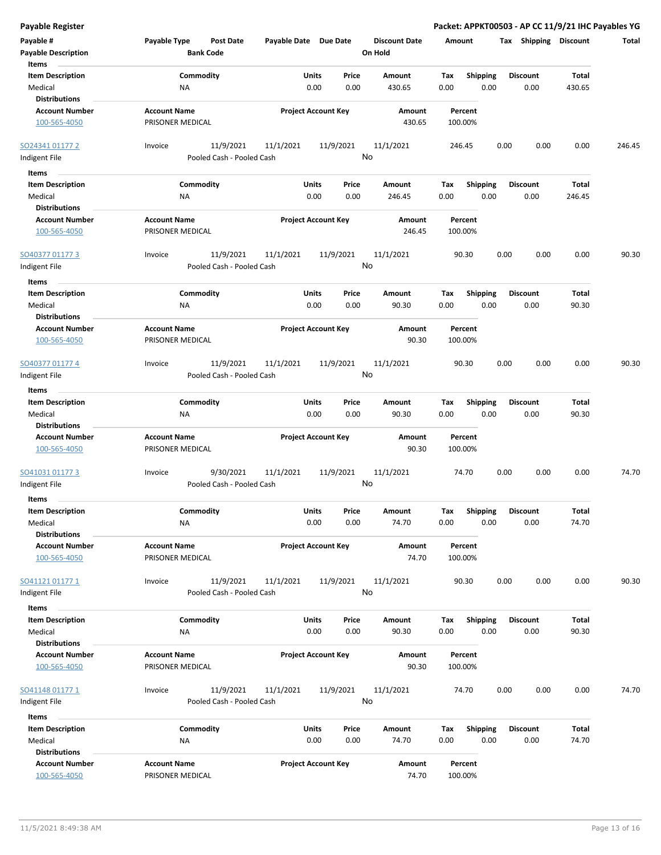| <b>Payable Register</b>                                             |                                                      |                            |                 |                                 | Packet: APPKT00503 - AP CC 11/9/21 IHC Payables YG |                         |                       |        |
|---------------------------------------------------------------------|------------------------------------------------------|----------------------------|-----------------|---------------------------------|----------------------------------------------------|-------------------------|-----------------------|--------|
| Payable #<br><b>Payable Description</b>                             | Payable Type<br><b>Post Date</b><br><b>Bank Code</b> | Payable Date Due Date      |                 | <b>Discount Date</b><br>On Hold | Amount                                             | Tax Shipping Discount   |                       | Total  |
| Items<br><b>Item Description</b><br>Medical                         | Commodity<br>NA                                      | Units<br>0.00              | Price<br>0.00   | Amount<br>430.65                | Tax<br><b>Shipping</b><br>0.00<br>0.00             | <b>Discount</b><br>0.00 | Total<br>430.65       |        |
| <b>Distributions</b><br><b>Account Number</b><br>100-565-4050       | <b>Account Name</b><br>PRISONER MEDICAL              | <b>Project Account Key</b> |                 | Amount<br>430.65                | Percent<br>100.00%                                 |                         |                       |        |
| SO24341 01177 2<br>Indigent File                                    | 11/9/2021<br>Invoice<br>Pooled Cash - Pooled Cash    | 11/1/2021                  | 11/9/2021<br>No | 11/1/2021                       | 246.45                                             | 0.00<br>0.00            | 0.00                  | 246.45 |
| Items<br><b>Item Description</b><br>Medical<br><b>Distributions</b> | Commodity<br>ΝA                                      | Units<br>0.00              | Price<br>0.00   | Amount<br>246.45                | <b>Shipping</b><br>Tax<br>0.00<br>0.00             | <b>Discount</b><br>0.00 | Total<br>246.45       |        |
| <b>Account Number</b><br>100-565-4050                               | <b>Account Name</b><br>PRISONER MEDICAL              | <b>Project Account Key</b> |                 | Amount<br>246.45                | Percent<br>100.00%                                 |                         |                       |        |
| SO40377 01177 3<br>Indigent File                                    | 11/9/2021<br>Invoice<br>Pooled Cash - Pooled Cash    | 11/1/2021                  | 11/9/2021<br>No | 11/1/2021                       | 90.30                                              | 0.00<br>0.00            | 0.00                  | 90.30  |
| Items<br><b>Item Description</b><br>Medical<br><b>Distributions</b> | Commodity<br>NA                                      | Units<br>0.00              | Price<br>0.00   | <b>Amount</b><br>90.30          | <b>Shipping</b><br>Tax<br>0.00<br>0.00             | <b>Discount</b><br>0.00 | Total<br>90.30        |        |
| <b>Account Number</b><br>100-565-4050                               | <b>Account Name</b><br>PRISONER MEDICAL              | <b>Project Account Key</b> |                 | Amount<br>90.30                 | Percent<br>100.00%                                 |                         |                       |        |
| SO40377 01177 4<br>Indigent File                                    | 11/9/2021<br>Invoice<br>Pooled Cash - Pooled Cash    | 11/1/2021                  | 11/9/2021<br>No | 11/1/2021                       | 90.30                                              | 0.00<br>0.00            | 0.00                  | 90.30  |
| Items<br><b>Item Description</b><br>Medical<br><b>Distributions</b> | Commodity<br>NA                                      | Units<br>0.00              | Price<br>0.00   | Amount<br>90.30                 | <b>Shipping</b><br>Tax<br>0.00<br>0.00             | <b>Discount</b><br>0.00 | Total<br>90.30        |        |
| <b>Account Number</b><br>100-565-4050                               | <b>Account Name</b><br>PRISONER MEDICAL              | <b>Project Account Key</b> |                 | Amount<br>90.30                 | Percent<br>100.00%                                 |                         |                       |        |
| SO41031 01177 3<br>Indigent File<br>Items                           | 9/30/2021<br>Invoice<br>Pooled Cash - Pooled Cash    | 11/1/2021                  | 11/9/2021<br>No | 11/1/2021                       | 74.70                                              | 0.00<br>0.00            | 0.00                  | 74.70  |
| <b>Item Description</b><br>Medical<br><b>Distributions</b>          | Commodity<br>NA                                      | Units<br>0.00              | Price<br>0.00   | Amount<br>74.70                 | Shipping<br>Tax<br>0.00<br>0.00                    | <b>Discount</b><br>0.00 | <b>Total</b><br>74.70 |        |
| <b>Account Number</b><br>100-565-4050                               | <b>Account Name</b><br>PRISONER MEDICAL              | <b>Project Account Key</b> |                 | Amount<br>74.70                 | Percent<br>100.00%                                 |                         |                       |        |
| SO41121 01177 1<br>Indigent File                                    | 11/9/2021<br>Invoice<br>Pooled Cash - Pooled Cash    | 11/1/2021                  | 11/9/2021<br>No | 11/1/2021                       | 90.30                                              | 0.00<br>0.00            | 0.00                  | 90.30  |
| Items<br><b>Item Description</b><br>Medical<br><b>Distributions</b> | Commodity<br>NA                                      | Units<br>0.00              | Price<br>0.00   | Amount<br>90.30                 | <b>Shipping</b><br>Tax<br>0.00<br>0.00             | <b>Discount</b><br>0.00 | Total<br>90.30        |        |
| <b>Account Number</b><br>100-565-4050                               | <b>Account Name</b><br>PRISONER MEDICAL              | <b>Project Account Key</b> |                 | Amount<br>90.30                 | Percent<br>100.00%                                 |                         |                       |        |
| SO41148 01177 1<br>Indigent File                                    | 11/9/2021<br>Invoice<br>Pooled Cash - Pooled Cash    | 11/1/2021                  | 11/9/2021<br>No | 11/1/2021                       | 74.70                                              | 0.00<br>0.00            | 0.00                  | 74.70  |
| Items                                                               |                                                      |                            |                 |                                 |                                                    |                         |                       |        |
| <b>Item Description</b><br>Medical                                  | Commodity<br>ΝA                                      | Units<br>0.00              | Price<br>0.00   | Amount<br>74.70                 | Tax<br><b>Shipping</b><br>0.00<br>0.00             | <b>Discount</b><br>0.00 | <b>Total</b><br>74.70 |        |
| <b>Distributions</b>                                                |                                                      |                            |                 |                                 |                                                    |                         |                       |        |
| <b>Account Number</b><br>100-565-4050                               | <b>Account Name</b><br>PRISONER MEDICAL              | <b>Project Account Key</b> |                 | Amount<br>74.70                 | Percent<br>100.00%                                 |                         |                       |        |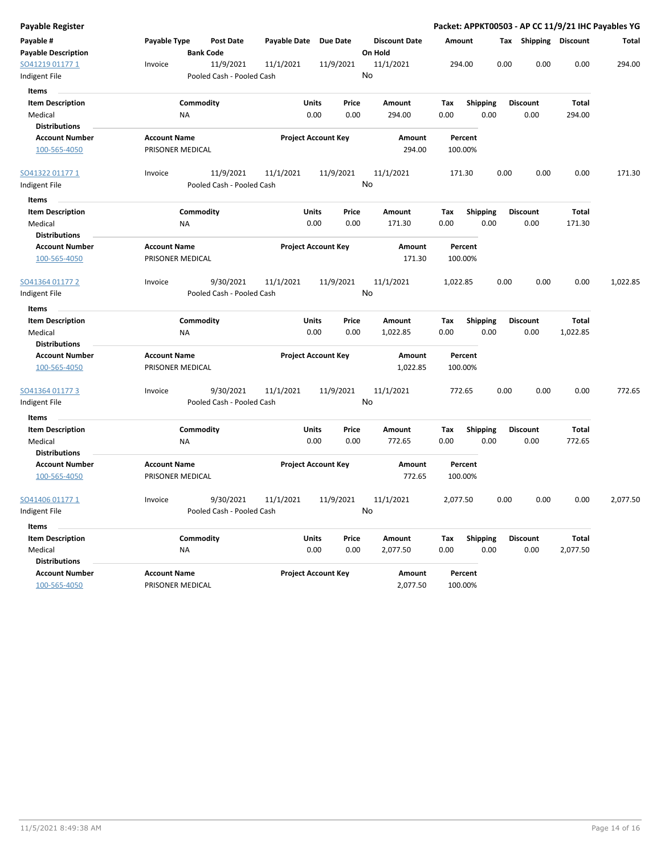| Payable Register                      |                                         |                           |                       |                            |    |                      |          |                    |      |                       |          | Packet: APPKT00503 - AP CC 11/9/21 IHC Payables YG |
|---------------------------------------|-----------------------------------------|---------------------------|-----------------------|----------------------------|----|----------------------|----------|--------------------|------|-----------------------|----------|----------------------------------------------------|
| Payable #                             | Payable Type                            | Post Date                 | Payable Date Due Date |                            |    | <b>Discount Date</b> | Amount   |                    |      | Tax Shipping Discount |          | Total                                              |
| <b>Payable Description</b>            |                                         | <b>Bank Code</b>          |                       |                            |    | On Hold              |          |                    |      |                       |          |                                                    |
| SO41219 01177 1                       | Invoice                                 | 11/9/2021                 | 11/1/2021             | 11/9/2021                  |    | 11/1/2021            | 294.00   |                    | 0.00 | 0.00                  | 0.00     | 294.00                                             |
| Indigent File                         |                                         | Pooled Cash - Pooled Cash |                       |                            | No |                      |          |                    |      |                       |          |                                                    |
| Items                                 |                                         |                           |                       |                            |    |                      |          |                    |      |                       |          |                                                    |
| <b>Item Description</b>               |                                         | Commodity                 |                       | Units<br>Price             |    | Amount               | Tax      | <b>Shipping</b>    |      | <b>Discount</b>       | Total    |                                                    |
| Medical                               | NA                                      |                           |                       | 0.00<br>0.00               |    | 294.00               | 0.00     | 0.00               |      | 0.00                  | 294.00   |                                                    |
| <b>Distributions</b>                  |                                         |                           |                       |                            |    |                      |          |                    |      |                       |          |                                                    |
| <b>Account Number</b>                 | <b>Account Name</b>                     |                           |                       | <b>Project Account Key</b> |    | Amount               |          | Percent            |      |                       |          |                                                    |
| 100-565-4050                          | PRISONER MEDICAL                        |                           |                       |                            |    | 294.00               |          | 100.00%            |      |                       |          |                                                    |
| SO41322 01177 1                       | Invoice                                 | 11/9/2021                 | 11/1/2021             | 11/9/2021                  |    | 11/1/2021            | 171.30   |                    | 0.00 | 0.00                  | 0.00     | 171.30                                             |
| Indigent File                         |                                         | Pooled Cash - Pooled Cash |                       |                            | No |                      |          |                    |      |                       |          |                                                    |
| Items                                 |                                         |                           |                       |                            |    |                      |          |                    |      |                       |          |                                                    |
| <b>Item Description</b>               |                                         | Commodity                 |                       | Units<br>Price             |    | Amount               | Tax      | <b>Shipping</b>    |      | <b>Discount</b>       | Total    |                                                    |
| Medical                               | ΝA                                      |                           |                       | 0.00<br>0.00               |    | 171.30               | 0.00     | 0.00               |      | 0.00                  | 171.30   |                                                    |
| <b>Distributions</b>                  |                                         |                           |                       |                            |    |                      |          |                    |      |                       |          |                                                    |
| <b>Account Number</b><br>100-565-4050 | <b>Account Name</b><br>PRISONER MEDICAL |                           |                       | <b>Project Account Key</b> |    | Amount<br>171.30     |          | Percent<br>100.00% |      |                       |          |                                                    |
|                                       |                                         |                           |                       |                            |    |                      |          |                    |      |                       |          |                                                    |
| SO41364 01177 2                       | Invoice                                 | 9/30/2021                 | 11/1/2021             | 11/9/2021                  |    | 11/1/2021            | 1,022.85 |                    | 0.00 | 0.00                  | 0.00     | 1,022.85                                           |
| Indigent File                         |                                         | Pooled Cash - Pooled Cash |                       |                            | No |                      |          |                    |      |                       |          |                                                    |
| Items                                 |                                         |                           |                       |                            |    |                      |          |                    |      |                       |          |                                                    |
| <b>Item Description</b>               |                                         | Commodity                 |                       | Units<br>Price             |    | Amount               | Tax      | <b>Shipping</b>    |      | <b>Discount</b>       | Total    |                                                    |
| Medical                               | ΝA                                      |                           |                       | 0.00<br>0.00               |    | 1,022.85             | 0.00     | 0.00               |      | 0.00                  | 1,022.85 |                                                    |
| <b>Distributions</b>                  |                                         |                           |                       |                            |    |                      |          |                    |      |                       |          |                                                    |
| <b>Account Number</b>                 | <b>Account Name</b>                     |                           |                       | <b>Project Account Key</b> |    | Amount               |          | Percent            |      |                       |          |                                                    |
| 100-565-4050                          | PRISONER MEDICAL                        |                           |                       |                            |    | 1,022.85             |          | 100.00%            |      |                       |          |                                                    |
| SO41364 01177 3                       | Invoice                                 | 9/30/2021                 | 11/1/2021             | 11/9/2021                  |    | 11/1/2021            | 772.65   |                    | 0.00 | 0.00                  | 0.00     | 772.65                                             |
| Indigent File                         |                                         | Pooled Cash - Pooled Cash |                       |                            | No |                      |          |                    |      |                       |          |                                                    |
| Items                                 |                                         |                           |                       |                            |    |                      |          |                    |      |                       |          |                                                    |
| <b>Item Description</b>               |                                         | Commodity                 |                       | Units<br>Price             |    | Amount               | Tax      | Shipping           |      | <b>Discount</b>       | Total    |                                                    |
| Medical                               | ΝA                                      |                           |                       | 0.00<br>0.00               |    | 772.65               | 0.00     | 0.00               |      | 0.00                  | 772.65   |                                                    |
| <b>Distributions</b>                  |                                         |                           |                       |                            |    |                      |          |                    |      |                       |          |                                                    |
| <b>Account Number</b>                 | <b>Account Name</b>                     |                           |                       | <b>Project Account Key</b> |    | Amount               |          | Percent            |      |                       |          |                                                    |
| 100-565-4050                          | PRISONER MEDICAL                        |                           |                       |                            |    | 772.65               |          | 100.00%            |      |                       |          |                                                    |
| SO41406 01177 1                       | Invoice                                 | 9/30/2021                 | 11/1/2021             | 11/9/2021                  |    | 11/1/2021            | 2,077.50 |                    | 0.00 | 0.00                  | 0.00     | 2,077.50                                           |
| Indigent File                         |                                         | Pooled Cash - Pooled Cash |                       |                            | No |                      |          |                    |      |                       |          |                                                    |
| Items                                 |                                         |                           |                       |                            |    |                      |          |                    |      |                       |          |                                                    |
| <b>Item Description</b>               |                                         | Commodity                 |                       | Units<br>Price             |    | Amount               | Tax      | Shipping           |      | <b>Discount</b>       | Total    |                                                    |
| Medical                               | NA                                      |                           |                       | 0.00<br>0.00               |    | 2,077.50             | 0.00     | 0.00               |      | 0.00                  | 2,077.50 |                                                    |
| <b>Distributions</b>                  |                                         |                           |                       |                            |    |                      |          |                    |      |                       |          |                                                    |
| <b>Account Number</b>                 | <b>Account Name</b>                     |                           |                       | <b>Project Account Key</b> |    | Amount               |          | Percent            |      |                       |          |                                                    |
| 100-565-4050                          | PRISONER MEDICAL                        |                           |                       |                            |    | 2,077.50             |          | 100.00%            |      |                       |          |                                                    |
|                                       |                                         |                           |                       |                            |    |                      |          |                    |      |                       |          |                                                    |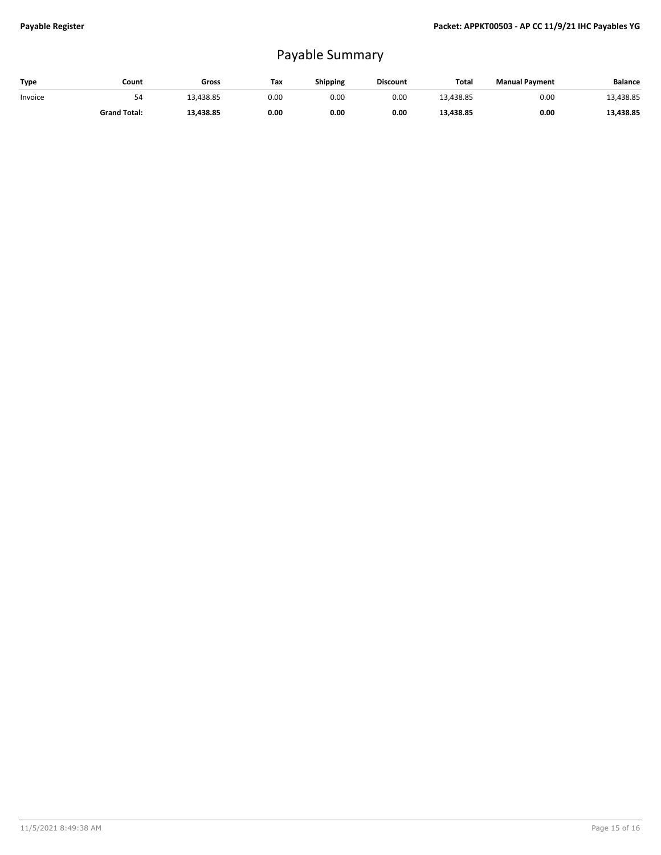## Payable Summary

| Type    | Count               | Gross     | Tax  | <b>Shipping</b> | <b>Discount</b> | <b>Total</b> | <b>Manual Payment</b> | <b>Balance</b> |
|---------|---------------------|-----------|------|-----------------|-----------------|--------------|-----------------------|----------------|
| Invoice | 54                  | 13.438.85 | 0.00 | 0.00            | 0.00            | 13.438.85    | 0.00                  | 13,438.85      |
|         | <b>Grand Total:</b> | 13,438.85 | 0.00 | 0.00            | 0.00            | 13,438.85    | 0.00                  | 13,438.85      |